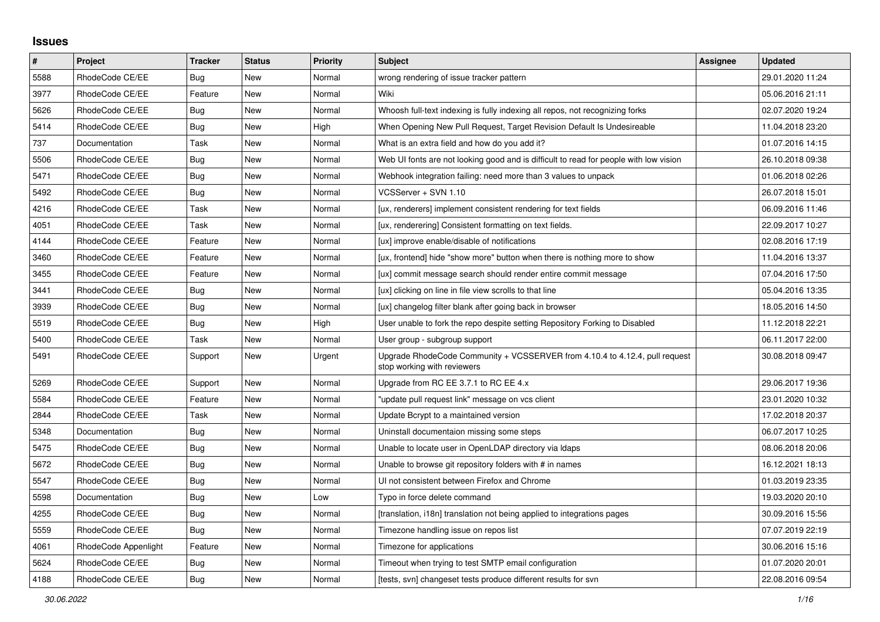## **Issues**

| #    | <b>Project</b>       | <b>Tracker</b> | <b>Status</b> | <b>Priority</b> | <b>Subject</b>                                                                                             | Assignee | <b>Updated</b>   |
|------|----------------------|----------------|---------------|-----------------|------------------------------------------------------------------------------------------------------------|----------|------------------|
| 5588 | RhodeCode CE/EE      | <b>Bug</b>     | New           | Normal          | wrong rendering of issue tracker pattern                                                                   |          | 29.01.2020 11:24 |
| 3977 | RhodeCode CE/EE      | Feature        | New           | Normal          | Wiki                                                                                                       |          | 05.06.2016 21:11 |
| 5626 | RhodeCode CE/EE      | Bug            | New           | Normal          | Whoosh full-text indexing is fully indexing all repos, not recognizing forks                               |          | 02.07.2020 19:24 |
| 5414 | RhodeCode CE/EE      | Bug            | New           | High            | When Opening New Pull Request, Target Revision Default Is Undesireable                                     |          | 11.04.2018 23:20 |
| 737  | Documentation        | Task           | New           | Normal          | What is an extra field and how do you add it?                                                              |          | 01.07.2016 14:15 |
| 5506 | RhodeCode CE/EE      | Bug            | New           | Normal          | Web UI fonts are not looking good and is difficult to read for people with low vision                      |          | 26.10.2018 09:38 |
| 5471 | RhodeCode CE/EE      | Bug            | New           | Normal          | Webhook integration failing: need more than 3 values to unpack                                             |          | 01.06.2018 02:26 |
| 5492 | RhodeCode CE/EE      | Bug            | New           | Normal          | VCSServer + SVN 1.10                                                                                       |          | 26.07.2018 15:01 |
| 4216 | RhodeCode CE/EE      | Task           | New           | Normal          | [ux, renderers] implement consistent rendering for text fields                                             |          | 06.09.2016 11:46 |
| 4051 | RhodeCode CE/EE      | Task           | New           | Normal          | [ux, renderering] Consistent formatting on text fields.                                                    |          | 22.09.2017 10:27 |
| 4144 | RhodeCode CE/EE      | Feature        | New           | Normal          | [ux] improve enable/disable of notifications                                                               |          | 02.08.2016 17:19 |
| 3460 | RhodeCode CE/EE      | Feature        | <b>New</b>    | Normal          | [ux, frontend] hide "show more" button when there is nothing more to show                                  |          | 11.04.2016 13:37 |
| 3455 | RhodeCode CE/EE      | Feature        | <b>New</b>    | Normal          | [ux] commit message search should render entire commit message                                             |          | 07.04.2016 17:50 |
| 3441 | RhodeCode CE/EE      | Bug            | New           | Normal          | [ux] clicking on line in file view scrolls to that line                                                    |          | 05.04.2016 13:35 |
| 3939 | RhodeCode CE/EE      | Bug            | New           | Normal          | [ux] changelog filter blank after going back in browser                                                    |          | 18.05.2016 14:50 |
| 5519 | RhodeCode CE/EE      | <b>Bug</b>     | New           | High            | User unable to fork the repo despite setting Repository Forking to Disabled                                |          | 11.12.2018 22:21 |
| 5400 | RhodeCode CE/EE      | Task           | New           | Normal          | User group - subgroup support                                                                              |          | 06.11.2017 22:00 |
| 5491 | RhodeCode CE/EE      | Support        | <b>New</b>    | Urgent          | Upgrade RhodeCode Community + VCSSERVER from 4.10.4 to 4.12.4, pull request<br>stop working with reviewers |          | 30.08.2018 09:47 |
| 5269 | RhodeCode CE/EE      | Support        | <b>New</b>    | Normal          | Upgrade from RC EE 3.7.1 to RC EE 4.x                                                                      |          | 29.06.2017 19:36 |
| 5584 | RhodeCode CE/EE      | Feature        | New           | Normal          | "update pull request link" message on vcs client                                                           |          | 23.01.2020 10:32 |
| 2844 | RhodeCode CE/EE      | Task           | New           | Normal          | Update Bcrypt to a maintained version                                                                      |          | 17.02.2018 20:37 |
| 5348 | Documentation        | Bug            | New           | Normal          | Uninstall documentaion missing some steps                                                                  |          | 06.07.2017 10:25 |
| 5475 | RhodeCode CE/EE      | Bug            | New           | Normal          | Unable to locate user in OpenLDAP directory via Idaps                                                      |          | 08.06.2018 20:06 |
| 5672 | RhodeCode CE/EE      | Bug            | New           | Normal          | Unable to browse git repository folders with # in names                                                    |          | 16.12.2021 18:13 |
| 5547 | RhodeCode CE/EE      | Bug            | New           | Normal          | UI not consistent between Firefox and Chrome                                                               |          | 01.03.2019 23:35 |
| 5598 | Documentation        | Bug            | New           | Low             | Typo in force delete command                                                                               |          | 19.03.2020 20:10 |
| 4255 | RhodeCode CE/EE      | <b>Bug</b>     | <b>New</b>    | Normal          | [translation, i18n] translation not being applied to integrations pages                                    |          | 30.09.2016 15:56 |
| 5559 | RhodeCode CE/EE      | Bug            | New           | Normal          | Timezone handling issue on repos list                                                                      |          | 07.07.2019 22:19 |
| 4061 | RhodeCode Appenlight | Feature        | New           | Normal          | Timezone for applications                                                                                  |          | 30.06.2016 15:16 |
| 5624 | RhodeCode CE/EE      | Bug            | New           | Normal          | Timeout when trying to test SMTP email configuration                                                       |          | 01.07.2020 20:01 |
| 4188 | RhodeCode CE/EE      | Bug            | New           | Normal          | [tests, svn] changeset tests produce different results for svn                                             |          | 22.08.2016 09:54 |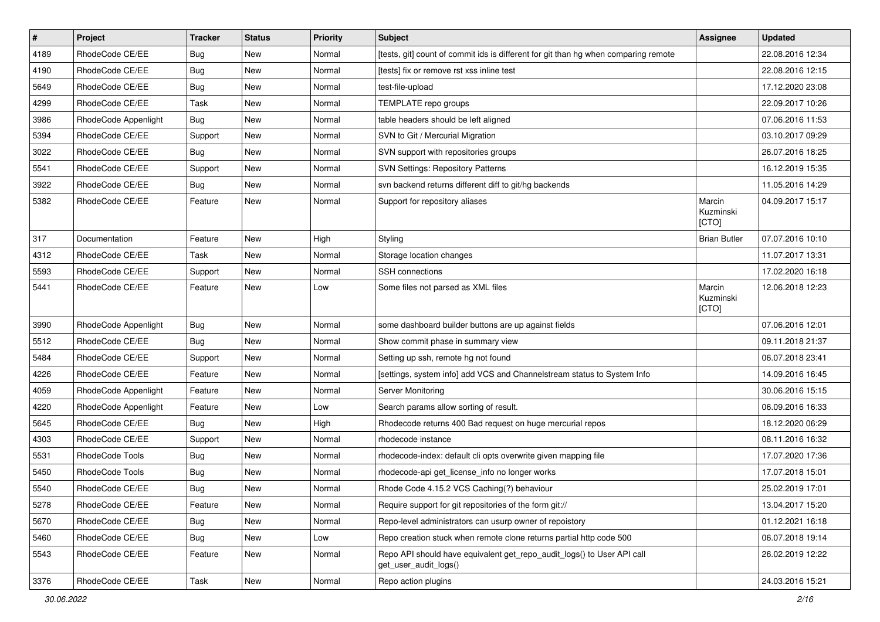| $\pmb{\#}$ | Project              | <b>Tracker</b> | <b>Status</b> | Priority | Subject                                                                                         | Assignee                     | <b>Updated</b>   |
|------------|----------------------|----------------|---------------|----------|-------------------------------------------------------------------------------------------------|------------------------------|------------------|
| 4189       | RhodeCode CE/EE      | Bug            | New           | Normal   | [tests, git] count of commit ids is different for git than hg when comparing remote             |                              | 22.08.2016 12:34 |
| 4190       | RhodeCode CE/EE      | Bug            | <b>New</b>    | Normal   | [tests] fix or remove rst xss inline test                                                       |                              | 22.08.2016 12:15 |
| 5649       | RhodeCode CE/EE      | Bug            | New           | Normal   | test-file-upload                                                                                |                              | 17.12.2020 23:08 |
| 4299       | RhodeCode CE/EE      | Task           | New           | Normal   | TEMPLATE repo groups                                                                            |                              | 22.09.2017 10:26 |
| 3986       | RhodeCode Appenlight | Bug            | <b>New</b>    | Normal   | table headers should be left aligned                                                            |                              | 07.06.2016 11:53 |
| 5394       | RhodeCode CE/EE      | Support        | <b>New</b>    | Normal   | SVN to Git / Mercurial Migration                                                                |                              | 03.10.2017 09:29 |
| 3022       | RhodeCode CE/EE      | Bug            | <b>New</b>    | Normal   | SVN support with repositories groups                                                            |                              | 26.07.2016 18:25 |
| 5541       | RhodeCode CE/EE      | Support        | New           | Normal   | <b>SVN Settings: Repository Patterns</b>                                                        |                              | 16.12.2019 15:35 |
| 3922       | RhodeCode CE/EE      | Bug            | <b>New</b>    | Normal   | svn backend returns different diff to git/hg backends                                           |                              | 11.05.2016 14:29 |
| 5382       | RhodeCode CE/EE      | Feature        | <b>New</b>    | Normal   | Support for repository aliases                                                                  | Marcin<br>Kuzminski<br>[CTO] | 04.09.2017 15:17 |
| 317        | Documentation        | Feature        | <b>New</b>    | High     | Styling                                                                                         | <b>Brian Butler</b>          | 07.07.2016 10:10 |
| 4312       | RhodeCode CE/EE      | Task           | New           | Normal   | Storage location changes                                                                        |                              | 11.07.2017 13:31 |
| 5593       | RhodeCode CE/EE      | Support        | New           | Normal   | SSH connections                                                                                 |                              | 17.02.2020 16:18 |
| 5441       | RhodeCode CE/EE      | Feature        | <b>New</b>    | Low      | Some files not parsed as XML files                                                              | Marcin<br>Kuzminski<br>[CTO] | 12.06.2018 12:23 |
| 3990       | RhodeCode Appenlight | Bug            | New           | Normal   | some dashboard builder buttons are up against fields                                            |                              | 07.06.2016 12:01 |
| 5512       | RhodeCode CE/EE      | Bug            | <b>New</b>    | Normal   | Show commit phase in summary view                                                               |                              | 09.11.2018 21:37 |
| 5484       | RhodeCode CE/EE      | Support        | <b>New</b>    | Normal   | Setting up ssh, remote hg not found                                                             |                              | 06.07.2018 23:41 |
| 4226       | RhodeCode CE/EE      | Feature        | New           | Normal   | [settings, system info] add VCS and Channelstream status to System Info                         |                              | 14.09.2016 16:45 |
| 4059       | RhodeCode Appenlight | Feature        | New           | Normal   | Server Monitoring                                                                               |                              | 30.06.2016 15:15 |
| 4220       | RhodeCode Appenlight | Feature        | New           | Low      | Search params allow sorting of result.                                                          |                              | 06.09.2016 16:33 |
| 5645       | RhodeCode CE/EE      | <b>Bug</b>     | New           | High     | Rhodecode returns 400 Bad request on huge mercurial repos                                       |                              | 18.12.2020 06:29 |
| 4303       | RhodeCode CE/EE      | Support        | <b>New</b>    | Normal   | rhodecode instance                                                                              |                              | 08.11.2016 16:32 |
| 5531       | RhodeCode Tools      | Bug            | New           | Normal   | rhodecode-index: default cli opts overwrite given mapping file                                  |                              | 17.07.2020 17:36 |
| 5450       | RhodeCode Tools      | Bug            | New           | Normal   | rhodecode-api get_license_info no longer works                                                  |                              | 17.07.2018 15:01 |
| 5540       | RhodeCode CE/EE      | <b>Bug</b>     | <b>New</b>    | Normal   | Rhode Code 4.15.2 VCS Caching(?) behaviour                                                      |                              | 25.02.2019 17:01 |
| 5278       | RhodeCode CE/EE      | Feature        | New           | Normal   | Require support for git repositories of the form git://                                         |                              | 13.04.2017 15:20 |
| 5670       | RhodeCode CE/EE      | Bug            | New           | Normal   | Repo-level administrators can usurp owner of repoistory                                         |                              | 01.12.2021 16:18 |
| 5460       | RhodeCode CE/EE      | Bug            | New           | Low      | Repo creation stuck when remote clone returns partial http code 500                             |                              | 06.07.2018 19:14 |
| 5543       | RhodeCode CE/EE      | Feature        | New           | Normal   | Repo API should have equivalent get_repo_audit_logs() to User API call<br>get_user_audit_logs() |                              | 26.02.2019 12:22 |
| 3376       | RhodeCode CE/EE      | Task           | New           | Normal   | Repo action plugins                                                                             |                              | 24.03.2016 15:21 |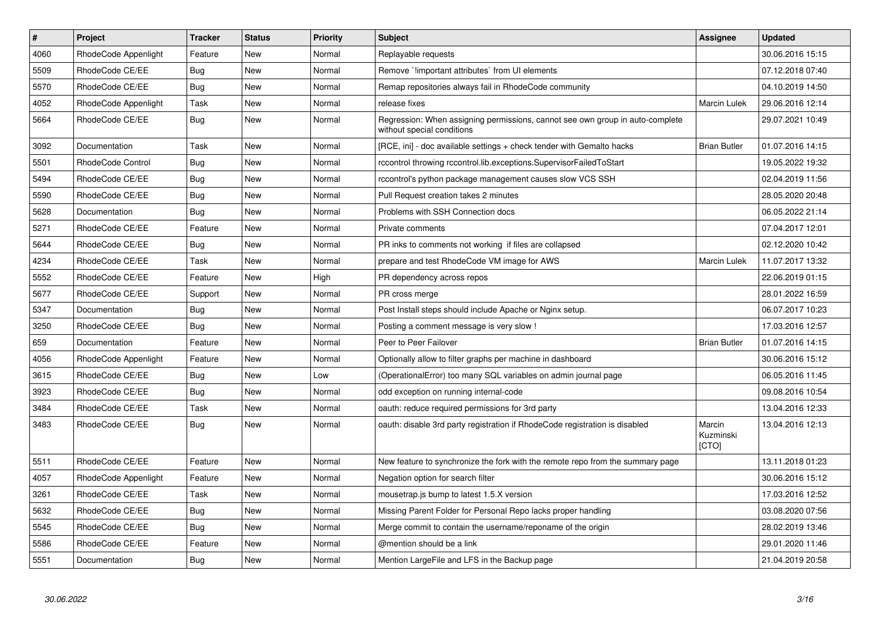| $\sharp$ | <b>Project</b>       | <b>Tracker</b> | <b>Status</b> | <b>Priority</b> | <b>Subject</b>                                                                                              | Assignee                     | <b>Updated</b>   |
|----------|----------------------|----------------|---------------|-----------------|-------------------------------------------------------------------------------------------------------------|------------------------------|------------------|
| 4060     | RhodeCode Appenlight | Feature        | New           | Normal          | Replayable requests                                                                                         |                              | 30.06.2016 15:15 |
| 5509     | RhodeCode CE/EE      | <b>Bug</b>     | <b>New</b>    | Normal          | Remove `!important attributes` from UI elements                                                             |                              | 07.12.2018 07:40 |
| 5570     | RhodeCode CE/EE      | Bug            | New           | Normal          | Remap repositories always fail in RhodeCode community                                                       |                              | 04.10.2019 14:50 |
| 4052     | RhodeCode Appenlight | Task           | New           | Normal          | release fixes                                                                                               | Marcin Lulek                 | 29.06.2016 12:14 |
| 5664     | RhodeCode CE/EE      | Bug            | <b>New</b>    | Normal          | Regression: When assigning permissions, cannot see own group in auto-complete<br>without special conditions |                              | 29.07.2021 10:49 |
| 3092     | Documentation        | Task           | <b>New</b>    | Normal          | [RCE, ini] - doc available settings + check tender with Gemalto hacks                                       | <b>Brian Butler</b>          | 01.07.2016 14:15 |
| 5501     | RhodeCode Control    | Bug            | New           | Normal          | rccontrol throwing rccontrol.lib.exceptions.SupervisorFailedToStart                                         |                              | 19.05.2022 19:32 |
| 5494     | RhodeCode CE/EE      | Bug            | <b>New</b>    | Normal          | rccontrol's python package management causes slow VCS SSH                                                   |                              | 02.04.2019 11:56 |
| 5590     | RhodeCode CE/EE      | Bug            | New           | Normal          | Pull Request creation takes 2 minutes                                                                       |                              | 28.05.2020 20:48 |
| 5628     | Documentation        | Bug            | New           | Normal          | Problems with SSH Connection docs                                                                           |                              | 06.05.2022 21:14 |
| 5271     | RhodeCode CE/EE      | Feature        | <b>New</b>    | Normal          | Private comments                                                                                            |                              | 07.04.2017 12:01 |
| 5644     | RhodeCode CE/EE      | Bug            | <b>New</b>    | Normal          | PR inks to comments not working if files are collapsed                                                      |                              | 02.12.2020 10:42 |
| 4234     | RhodeCode CE/EE      | Task           | New           | Normal          | prepare and test RhodeCode VM image for AWS                                                                 | <b>Marcin Lulek</b>          | 11.07.2017 13:32 |
| 5552     | RhodeCode CE/EE      | Feature        | New           | High            | PR dependency across repos                                                                                  |                              | 22.06.2019 01:15 |
| 5677     | RhodeCode CE/EE      | Support        | New           | Normal          | PR cross merge                                                                                              |                              | 28.01.2022 16:59 |
| 5347     | Documentation        | Bug            | New           | Normal          | Post Install steps should include Apache or Nginx setup.                                                    |                              | 06.07.2017 10:23 |
| 3250     | RhodeCode CE/EE      | Bug            | New           | Normal          | Posting a comment message is very slow !                                                                    |                              | 17.03.2016 12:57 |
| 659      | Documentation        | Feature        | <b>New</b>    | Normal          | Peer to Peer Failover                                                                                       | <b>Brian Butler</b>          | 01.07.2016 14:15 |
| 4056     | RhodeCode Appenlight | Feature        | New           | Normal          | Optionally allow to filter graphs per machine in dashboard                                                  |                              | 30.06.2016 15:12 |
| 3615     | RhodeCode CE/EE      | Bug            | New           | Low             | (OperationalError) too many SQL variables on admin journal page                                             |                              | 06.05.2016 11:45 |
| 3923     | RhodeCode CE/EE      | Bug            | New           | Normal          | odd exception on running internal-code                                                                      |                              | 09.08.2016 10:54 |
| 3484     | RhodeCode CE/EE      | Task           | New           | Normal          | oauth: reduce required permissions for 3rd party                                                            |                              | 13.04.2016 12:33 |
| 3483     | RhodeCode CE/EE      | Bug            | New           | Normal          | oauth: disable 3rd party registration if RhodeCode registration is disabled                                 | Marcin<br>Kuzminski<br>[CTO] | 13.04.2016 12:13 |
| 5511     | RhodeCode CE/EE      | Feature        | New           | Normal          | New feature to synchronize the fork with the remote repo from the summary page                              |                              | 13.11.2018 01:23 |
| 4057     | RhodeCode Appenlight | Feature        | New           | Normal          | Negation option for search filter                                                                           |                              | 30.06.2016 15:12 |
| 3261     | RhodeCode CE/EE      | Task           | <b>New</b>    | Normal          | mousetrap.js bump to latest 1.5.X version                                                                   |                              | 17.03.2016 12:52 |
| 5632     | RhodeCode CE/EE      | Bug            | <b>New</b>    | Normal          | Missing Parent Folder for Personal Repo lacks proper handling                                               |                              | 03.08.2020 07:56 |
| 5545     | RhodeCode CE/EE      | Bug            | New           | Normal          | Merge commit to contain the username/reponame of the origin                                                 |                              | 28.02.2019 13:46 |
| 5586     | RhodeCode CE/EE      | Feature        | <b>New</b>    | Normal          | @mention should be a link                                                                                   |                              | 29.01.2020 11:46 |
| 5551     | Documentation        | <b>Bug</b>     | <b>New</b>    | Normal          | Mention Large File and LFS in the Backup page                                                               |                              | 21.04.2019 20:58 |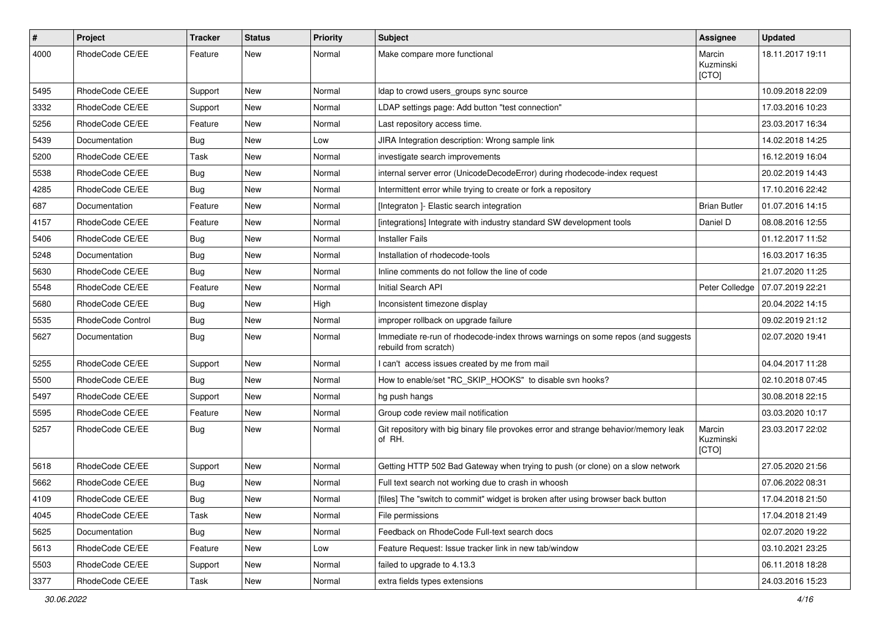| $\sharp$ | <b>Project</b>    | Tracker    | <b>Status</b> | <b>Priority</b> | <b>Subject</b>                                                                                           | <b>Assignee</b>              | <b>Updated</b>   |
|----------|-------------------|------------|---------------|-----------------|----------------------------------------------------------------------------------------------------------|------------------------------|------------------|
| 4000     | RhodeCode CE/EE   | Feature    | New           | Normal          | Make compare more functional                                                                             | Marcin<br>Kuzminski<br>[CTO] | 18.11.2017 19:11 |
| 5495     | RhodeCode CE/EE   | Support    | New           | Normal          | Idap to crowd users groups sync source                                                                   |                              | 10.09.2018 22:09 |
| 3332     | RhodeCode CE/EE   | Support    | New           | Normal          | LDAP settings page: Add button "test connection"                                                         |                              | 17.03.2016 10:23 |
| 5256     | RhodeCode CE/EE   | Feature    | New           | Normal          | Last repository access time.                                                                             |                              | 23.03.2017 16:34 |
| 5439     | Documentation     | <b>Bug</b> | New           | Low             | JIRA Integration description: Wrong sample link                                                          |                              | 14.02.2018 14:25 |
| 5200     | RhodeCode CE/EE   | Task       | New           | Normal          | investigate search improvements                                                                          |                              | 16.12.2019 16:04 |
| 5538     | RhodeCode CE/EE   | <b>Bug</b> | New           | Normal          | internal server error (UnicodeDecodeError) during rhodecode-index request                                |                              | 20.02.2019 14:43 |
| 4285     | RhodeCode CE/EE   | <b>Bug</b> | New           | Normal          | Intermittent error while trying to create or fork a repository                                           |                              | 17.10.2016 22:42 |
| 687      | Documentation     | Feature    | New           | Normal          | [Integraton ]- Elastic search integration                                                                | <b>Brian Butler</b>          | 01.07.2016 14:15 |
| 4157     | RhodeCode CE/EE   | Feature    | New           | Normal          | [integrations] Integrate with industry standard SW development tools                                     | Daniel D                     | 08.08.2016 12:55 |
| 5406     | RhodeCode CE/EE   | Bug        | New           | Normal          | <b>Installer Fails</b>                                                                                   |                              | 01.12.2017 11:52 |
| 5248     | Documentation     | <b>Bug</b> | New           | Normal          | Installation of rhodecode-tools                                                                          |                              | 16.03.2017 16:35 |
| 5630     | RhodeCode CE/EE   | Bug        | New           | Normal          | Inline comments do not follow the line of code                                                           |                              | 21.07.2020 11:25 |
| 5548     | RhodeCode CE/EE   | Feature    | New           | Normal          | Initial Search API                                                                                       | Peter Colledge               | 07.07.2019 22:21 |
| 5680     | RhodeCode CE/EE   | Bug        | New           | High            | Inconsistent timezone display                                                                            |                              | 20.04.2022 14:15 |
| 5535     | RhodeCode Control | <b>Bug</b> | New           | Normal          | improper rollback on upgrade failure                                                                     |                              | 09.02.2019 21:12 |
| 5627     | Documentation     | <b>Bug</b> | New           | Normal          | Immediate re-run of rhodecode-index throws warnings on some repos (and suggests<br>rebuild from scratch) |                              | 02.07.2020 19:41 |
| 5255     | RhodeCode CE/EE   | Support    | New           | Normal          | I can't access issues created by me from mail                                                            |                              | 04.04.2017 11:28 |
| 5500     | RhodeCode CE/EE   | Bug        | New           | Normal          | How to enable/set "RC_SKIP_HOOKS" to disable svn hooks?                                                  |                              | 02.10.2018 07:45 |
| 5497     | RhodeCode CE/EE   | Support    | New           | Normal          | hg push hangs                                                                                            |                              | 30.08.2018 22:15 |
| 5595     | RhodeCode CE/EE   | Feature    | New           | Normal          | Group code review mail notification                                                                      |                              | 03.03.2020 10:17 |
| 5257     | RhodeCode CE/EE   | Bug        | New           | Normal          | Git repository with big binary file provokes error and strange behavior/memory leak<br>of RH.            | Marcin<br>Kuzminski<br>[CTO] | 23.03.2017 22:02 |
| 5618     | RhodeCode CE/EE   | Support    | New           | Normal          | Getting HTTP 502 Bad Gateway when trying to push (or clone) on a slow network                            |                              | 27.05.2020 21:56 |
| 5662     | RhodeCode CE/EE   | Bug        | New           | Normal          | Full text search not working due to crash in whoosh                                                      |                              | 07.06.2022 08:31 |
| 4109     | RhodeCode CE/EE   | <b>Bug</b> | New           | Normal          | [files] The "switch to commit" widget is broken after using browser back button                          |                              | 17.04.2018 21:50 |
| 4045     | RhodeCode CE/EE   | Task       | New           | Normal          | File permissions                                                                                         |                              | 17.04.2018 21:49 |
| 5625     | Documentation     | <b>Bug</b> | New           | Normal          | Feedback on RhodeCode Full-text search docs                                                              |                              | 02.07.2020 19:22 |
| 5613     | RhodeCode CE/EE   | Feature    | New           | Low             | Feature Request: Issue tracker link in new tab/window                                                    |                              | 03.10.2021 23:25 |
| 5503     | RhodeCode CE/EE   | Support    | New           | Normal          | failed to upgrade to 4.13.3                                                                              |                              | 06.11.2018 18:28 |
| 3377     | RhodeCode CE/EE   | Task       | New           | Normal          | extra fields types extensions                                                                            |                              | 24.03.2016 15:23 |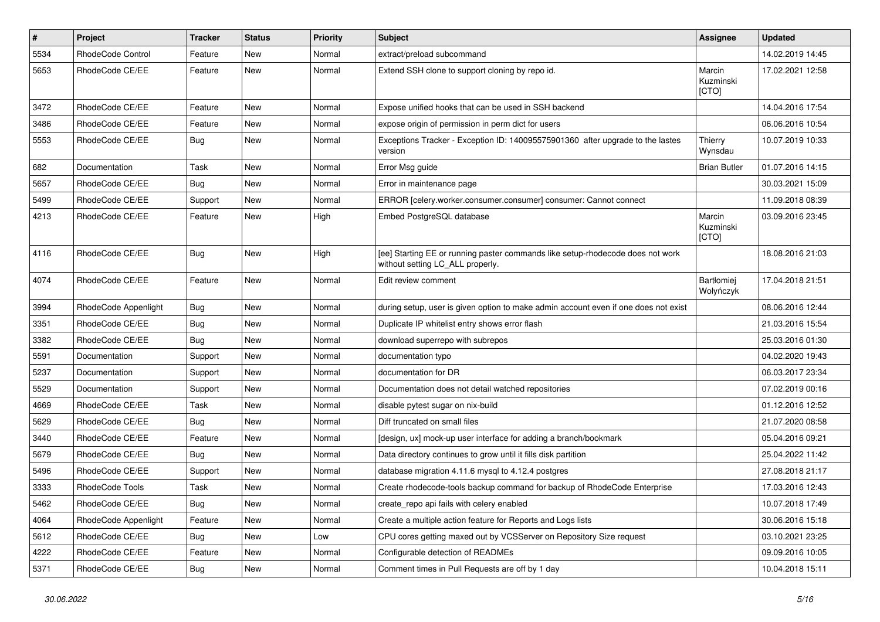| $\pmb{\#}$ | Project              | <b>Tracker</b> | <b>Status</b> | Priority | Subject                                                                                                            | Assignee                     | <b>Updated</b>   |
|------------|----------------------|----------------|---------------|----------|--------------------------------------------------------------------------------------------------------------------|------------------------------|------------------|
| 5534       | RhodeCode Control    | Feature        | <b>New</b>    | Normal   | extract/preload subcommand                                                                                         |                              | 14.02.2019 14:45 |
| 5653       | RhodeCode CE/EE      | Feature        | <b>New</b>    | Normal   | Extend SSH clone to support cloning by repo id.                                                                    | Marcin<br>Kuzminski<br>[CTO] | 17.02.2021 12:58 |
| 3472       | RhodeCode CE/EE      | Feature        | <b>New</b>    | Normal   | Expose unified hooks that can be used in SSH backend                                                               |                              | 14.04.2016 17:54 |
| 3486       | RhodeCode CE/EE      | Feature        | New           | Normal   | expose origin of permission in perm dict for users                                                                 |                              | 06.06.2016 10:54 |
| 5553       | RhodeCode CE/EE      | Bug            | <b>New</b>    | Normal   | Exceptions Tracker - Exception ID: 140095575901360 after upgrade to the lastes<br>version                          | Thierry<br>Wynsdau           | 10.07.2019 10:33 |
| 682        | Documentation        | Task           | <b>New</b>    | Normal   | Error Msg guide                                                                                                    | <b>Brian Butler</b>          | 01.07.2016 14:15 |
| 5657       | RhodeCode CE/EE      | <b>Bug</b>     | <b>New</b>    | Normal   | Error in maintenance page                                                                                          |                              | 30.03.2021 15:09 |
| 5499       | RhodeCode CE/EE      | Support        | New           | Normal   | ERROR [celery.worker.consumer.consumer] consumer: Cannot connect                                                   |                              | 11.09.2018 08:39 |
| 4213       | RhodeCode CE/EE      | Feature        | New           | High     | Embed PostgreSQL database                                                                                          | Marcin<br>Kuzminski<br>[CTO] | 03.09.2016 23:45 |
| 4116       | RhodeCode CE/EE      | Bug            | New           | High     | [ee] Starting EE or running paster commands like setup-rhodecode does not work<br>without setting LC_ALL properly. |                              | 18.08.2016 21:03 |
| 4074       | RhodeCode CE/EE      | Feature        | <b>New</b>    | Normal   | Edit review comment                                                                                                | Bartłomiej<br>Wołyńczyk      | 17.04.2018 21:51 |
| 3994       | RhodeCode Appenlight | <b>Bug</b>     | <b>New</b>    | Normal   | during setup, user is given option to make admin account even if one does not exist                                |                              | 08.06.2016 12:44 |
| 3351       | RhodeCode CE/EE      | Bug            | <b>New</b>    | Normal   | Duplicate IP whitelist entry shows error flash                                                                     |                              | 21.03.2016 15:54 |
| 3382       | RhodeCode CE/EE      | Bug            | <b>New</b>    | Normal   | download superrepo with subrepos                                                                                   |                              | 25.03.2016 01:30 |
| 5591       | Documentation        | Support        | New           | Normal   | documentation typo                                                                                                 |                              | 04.02.2020 19:43 |
| 5237       | Documentation        | Support        | New           | Normal   | documentation for DR                                                                                               |                              | 06.03.2017 23:34 |
| 5529       | Documentation        | Support        | <b>New</b>    | Normal   | Documentation does not detail watched repositories                                                                 |                              | 07.02.2019 00:16 |
| 4669       | RhodeCode CE/EE      | Task           | <b>New</b>    | Normal   | disable pytest sugar on nix-build                                                                                  |                              | 01.12.2016 12:52 |
| 5629       | RhodeCode CE/EE      | <b>Bug</b>     | <b>New</b>    | Normal   | Diff truncated on small files                                                                                      |                              | 21.07.2020 08:58 |
| 3440       | RhodeCode CE/EE      | Feature        | New           | Normal   | [design, ux] mock-up user interface for adding a branch/bookmark                                                   |                              | 05.04.2016 09:21 |
| 5679       | RhodeCode CE/EE      | Bug            | <b>New</b>    | Normal   | Data directory continues to grow until it fills disk partition                                                     |                              | 25.04.2022 11:42 |
| 5496       | RhodeCode CE/EE      | Support        | <b>New</b>    | Normal   | database migration 4.11.6 mysql to 4.12.4 postgres                                                                 |                              | 27.08.2018 21:17 |
| 3333       | RhodeCode Tools      | Task           | New           | Normal   | Create rhodecode-tools backup command for backup of RhodeCode Enterprise                                           |                              | 17.03.2016 12:43 |
| 5462       | RhodeCode CE/EE      | <b>Bug</b>     | New           | Normal   | create repo api fails with celery enabled                                                                          |                              | 10.07.2018 17:49 |
| 4064       | RhodeCode Appenlight | Feature        | New           | Normal   | Create a multiple action feature for Reports and Logs lists                                                        |                              | 30.06.2016 15:18 |
| 5612       | RhodeCode CE/EE      | Bug            | New           | Low      | CPU cores getting maxed out by VCSServer on Repository Size request                                                |                              | 03.10.2021 23:25 |
| 4222       | RhodeCode CE/EE      | Feature        | New           | Normal   | Configurable detection of READMEs                                                                                  |                              | 09.09.2016 10:05 |
| 5371       | RhodeCode CE/EE      | Bug            | New           | Normal   | Comment times in Pull Requests are off by 1 day                                                                    |                              | 10.04.2018 15:11 |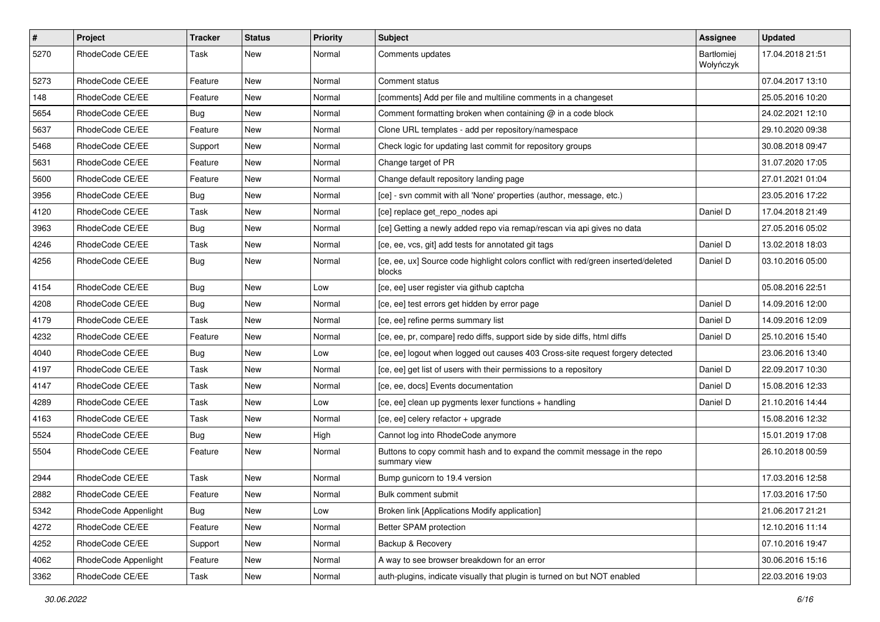| $\pmb{\#}$ | Project              | <b>Tracker</b> | <b>Status</b> | <b>Priority</b> | Subject                                                                                      | <b>Assignee</b>         | <b>Updated</b>   |
|------------|----------------------|----------------|---------------|-----------------|----------------------------------------------------------------------------------------------|-------------------------|------------------|
| 5270       | RhodeCode CE/EE      | Task           | New           | Normal          | Comments updates                                                                             | Bartłomiej<br>Wołyńczyk | 17.04.2018 21:51 |
| 5273       | RhodeCode CE/EE      | Feature        | <b>New</b>    | Normal          | Comment status                                                                               |                         | 07.04.2017 13:10 |
| 148        | RhodeCode CE/EE      | Feature        | New           | Normal          | [comments] Add per file and multiline comments in a changeset                                |                         | 25.05.2016 10:20 |
| 5654       | RhodeCode CE/EE      | Bug            | New           | Normal          | Comment formatting broken when containing @ in a code block                                  |                         | 24.02.2021 12:10 |
| 5637       | RhodeCode CE/EE      | Feature        | New           | Normal          | Clone URL templates - add per repository/namespace                                           |                         | 29.10.2020 09:38 |
| 5468       | RhodeCode CE/EE      | Support        | New           | Normal          | Check logic for updating last commit for repository groups                                   |                         | 30.08.2018 09:47 |
| 5631       | RhodeCode CE/EE      | Feature        | New           | Normal          | Change target of PR                                                                          |                         | 31.07.2020 17:05 |
| 5600       | RhodeCode CE/EE      | Feature        | New           | Normal          | Change default repository landing page                                                       |                         | 27.01.2021 01:04 |
| 3956       | RhodeCode CE/EE      | Bug            | <b>New</b>    | Normal          | [ce] - svn commit with all 'None' properties (author, message, etc.)                         |                         | 23.05.2016 17:22 |
| 4120       | RhodeCode CE/EE      | Task           | New           | Normal          | [ce] replace get_repo_nodes api                                                              | Daniel D                | 17.04.2018 21:49 |
| 3963       | RhodeCode CE/EE      | Bug            | New           | Normal          | [ce] Getting a newly added repo via remap/rescan via api gives no data                       |                         | 27.05.2016 05:02 |
| 4246       | RhodeCode CE/EE      | Task           | New           | Normal          | [ce, ee, vcs, git] add tests for annotated git tags                                          | Daniel D                | 13.02.2018 18:03 |
| 4256       | RhodeCode CE/EE      | Bug            | New           | Normal          | [ce, ee, ux] Source code highlight colors conflict with red/green inserted/deleted<br>blocks | Daniel D                | 03.10.2016 05:00 |
| 4154       | RhodeCode CE/EE      | Bug            | New           | Low             | [ce, ee] user register via github captcha                                                    |                         | 05.08.2016 22:51 |
| 4208       | RhodeCode CE/EE      | Bug            | New           | Normal          | [ce, ee] test errors get hidden by error page                                                | Daniel D                | 14.09.2016 12:00 |
| 4179       | RhodeCode CE/EE      | Task           | New           | Normal          | [ce, ee] refine perms summary list                                                           | Daniel D                | 14.09.2016 12:09 |
| 4232       | RhodeCode CE/EE      | Feature        | New           | Normal          | [ce, ee, pr, compare] redo diffs, support side by side diffs, html diffs                     | Daniel D                | 25.10.2016 15:40 |
| 4040       | RhodeCode CE/EE      | Bug            | New           | Low             | [ce, ee] logout when logged out causes 403 Cross-site request forgery detected               |                         | 23.06.2016 13:40 |
| 4197       | RhodeCode CE/EE      | Task           | New           | Normal          | [ce, ee] get list of users with their permissions to a repository                            | Daniel D                | 22.09.2017 10:30 |
| 4147       | RhodeCode CE/EE      | Task           | New           | Normal          | [ce, ee, docs] Events documentation                                                          | Daniel D                | 15.08.2016 12:33 |
| 4289       | RhodeCode CE/EE      | Task           | New           | Low             | [ce, ee] clean up pygments lexer functions + handling                                        | Daniel D                | 21.10.2016 14:44 |
| 4163       | RhodeCode CE/EE      | Task           | New           | Normal          | [ce, ee] celery refactor + upgrade                                                           |                         | 15.08.2016 12:32 |
| 5524       | RhodeCode CE/EE      | Bug            | New           | High            | Cannot log into RhodeCode anymore                                                            |                         | 15.01.2019 17:08 |
| 5504       | RhodeCode CE/EE      | Feature        | New           | Normal          | Buttons to copy commit hash and to expand the commit message in the repo<br>summary view     |                         | 26.10.2018 00:59 |
| 2944       | RhodeCode CE/EE      | Task           | <b>New</b>    | Normal          | Bump gunicorn to 19.4 version                                                                |                         | 17.03.2016 12:58 |
| 2882       | RhodeCode CE/EE      | Feature        | New           | Normal          | Bulk comment submit                                                                          |                         | 17.03.2016 17:50 |
| 5342       | RhodeCode Appenlight | Bug            | <b>New</b>    | Low             | Broken link [Applications Modify application]                                                |                         | 21.06.2017 21:21 |
| 4272       | RhodeCode CE/EE      | Feature        | New           | Normal          | Better SPAM protection                                                                       |                         | 12.10.2016 11:14 |
| 4252       | RhodeCode CE/EE      | Support        | New           | Normal          | Backup & Recovery                                                                            |                         | 07.10.2016 19:47 |
| 4062       | RhodeCode Appenlight | Feature        | New           | Normal          | A way to see browser breakdown for an error                                                  |                         | 30.06.2016 15:16 |
| 3362       | RhodeCode CE/EE      | Task           | New           | Normal          | auth-plugins, indicate visually that plugin is turned on but NOT enabled                     |                         | 22.03.2016 19:03 |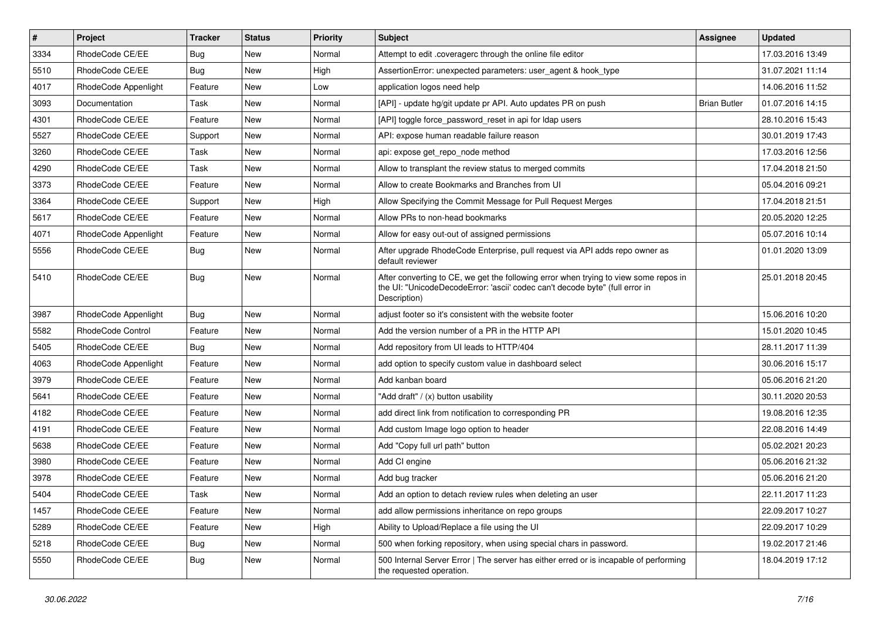| $\vert$ # | Project                  | Tracker    | <b>Status</b> | Priority | <b>Subject</b>                                                                                                                                                                       | <b>Assignee</b>     | <b>Updated</b>   |
|-----------|--------------------------|------------|---------------|----------|--------------------------------------------------------------------------------------------------------------------------------------------------------------------------------------|---------------------|------------------|
| 3334      | RhodeCode CE/EE          | <b>Bug</b> | New           | Normal   | Attempt to edit .coveragerc through the online file editor                                                                                                                           |                     | 17.03.2016 13:49 |
| 5510      | RhodeCode CE/EE          | Bug        | New           | High     | AssertionError: unexpected parameters: user_agent & hook_type                                                                                                                        |                     | 31.07.2021 11:14 |
| 4017      | RhodeCode Appenlight     | Feature    | New           | Low      | application logos need help                                                                                                                                                          |                     | 14.06.2016 11:52 |
| 3093      | Documentation            | Task       | New           | Normal   | [API] - update hg/git update pr API. Auto updates PR on push                                                                                                                         | <b>Brian Butler</b> | 01.07.2016 14:15 |
| 4301      | RhodeCode CE/EE          | Feature    | New           | Normal   | [API] toggle force_password_reset in api for Idap users                                                                                                                              |                     | 28.10.2016 15:43 |
| 5527      | RhodeCode CE/EE          | Support    | New           | Normal   | API: expose human readable failure reason                                                                                                                                            |                     | 30.01.2019 17:43 |
| 3260      | RhodeCode CE/EE          | Task       | New           | Normal   | api: expose get repo node method                                                                                                                                                     |                     | 17.03.2016 12:56 |
| 4290      | RhodeCode CE/EE          | Task       | New           | Normal   | Allow to transplant the review status to merged commits                                                                                                                              |                     | 17.04.2018 21:50 |
| 3373      | RhodeCode CE/EE          | Feature    | New           | Normal   | Allow to create Bookmarks and Branches from UI                                                                                                                                       |                     | 05.04.2016 09:21 |
| 3364      | RhodeCode CE/EE          | Support    | New           | High     | Allow Specifying the Commit Message for Pull Request Merges                                                                                                                          |                     | 17.04.2018 21:51 |
| 5617      | RhodeCode CE/EE          | Feature    | New           | Normal   | Allow PRs to non-head bookmarks                                                                                                                                                      |                     | 20.05.2020 12:25 |
| 4071      | RhodeCode Appenlight     | Feature    | New           | Normal   | Allow for easy out-out of assigned permissions                                                                                                                                       |                     | 05.07.2016 10:14 |
| 5556      | RhodeCode CE/EE          | Bug        | <b>New</b>    | Normal   | After upgrade RhodeCode Enterprise, pull request via API adds repo owner as<br>default reviewer                                                                                      |                     | 01.01.2020 13:09 |
| 5410      | RhodeCode CE/EE          | Bug        | New           | Normal   | After converting to CE, we get the following error when trying to view some repos in<br>the UI: "UnicodeDecodeError: 'ascii' codec can't decode byte" (full error in<br>Description) |                     | 25.01.2018 20:45 |
| 3987      | RhodeCode Appenlight     | Bug        | <b>New</b>    | Normal   | adjust footer so it's consistent with the website footer                                                                                                                             |                     | 15.06.2016 10:20 |
| 5582      | <b>RhodeCode Control</b> | Feature    | New           | Normal   | Add the version number of a PR in the HTTP API                                                                                                                                       |                     | 15.01.2020 10:45 |
| 5405      | RhodeCode CE/EE          | <b>Bug</b> | New           | Normal   | Add repository from UI leads to HTTP/404                                                                                                                                             |                     | 28.11.2017 11:39 |
| 4063      | RhodeCode Appenlight     | Feature    | New           | Normal   | add option to specify custom value in dashboard select                                                                                                                               |                     | 30.06.2016 15:17 |
| 3979      | RhodeCode CE/EE          | Feature    | New           | Normal   | Add kanban board                                                                                                                                                                     |                     | 05.06.2016 21:20 |
| 5641      | RhodeCode CE/EE          | Feature    | New           | Normal   | "Add draft" / (x) button usability                                                                                                                                                   |                     | 30.11.2020 20:53 |
| 4182      | RhodeCode CE/EE          | Feature    | New           | Normal   | add direct link from notification to corresponding PR                                                                                                                                |                     | 19.08.2016 12:35 |
| 4191      | RhodeCode CE/EE          | Feature    | New           | Normal   | Add custom Image logo option to header                                                                                                                                               |                     | 22.08.2016 14:49 |
| 5638      | RhodeCode CE/EE          | Feature    | New           | Normal   | Add "Copy full url path" button                                                                                                                                                      |                     | 05.02.2021 20:23 |
| 3980      | RhodeCode CE/EE          | Feature    | New           | Normal   | Add CI engine                                                                                                                                                                        |                     | 05.06.2016 21:32 |
| 3978      | RhodeCode CE/EE          | Feature    | New           | Normal   | Add bug tracker                                                                                                                                                                      |                     | 05.06.2016 21:20 |
| 5404      | RhodeCode CE/EE          | Task       | New           | Normal   | Add an option to detach review rules when deleting an user                                                                                                                           |                     | 22.11.2017 11:23 |
| 1457      | RhodeCode CE/EE          | Feature    | New           | Normal   | add allow permissions inheritance on repo groups                                                                                                                                     |                     | 22.09.2017 10:27 |
| 5289      | RhodeCode CE/EE          | Feature    | New           | High     | Ability to Upload/Replace a file using the UI                                                                                                                                        |                     | 22.09.2017 10:29 |
| 5218      | RhodeCode CE/EE          | Bug        | New           | Normal   | 500 when forking repository, when using special chars in password.                                                                                                                   |                     | 19.02.2017 21:46 |
| 5550      | RhodeCode CE/EE          | <b>Bug</b> | New           | Normal   | 500 Internal Server Error   The server has either erred or is incapable of performing<br>the requested operation.                                                                    |                     | 18.04.2019 17:12 |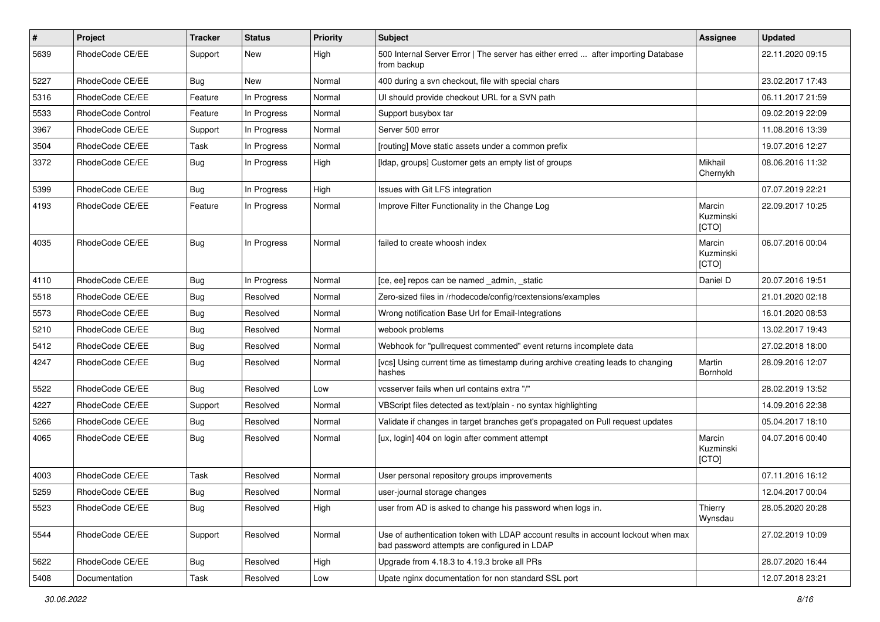| $\#$ | Project           | <b>Tracker</b> | <b>Status</b> | <b>Priority</b> | <b>Subject</b>                                                                                                                    | <b>Assignee</b>              | <b>Updated</b>   |
|------|-------------------|----------------|---------------|-----------------|-----------------------------------------------------------------------------------------------------------------------------------|------------------------------|------------------|
| 5639 | RhodeCode CE/EE   | Support        | New           | High            | 500 Internal Server Error   The server has either erred  after importing Database<br>from backup                                  |                              | 22.11.2020 09:15 |
| 5227 | RhodeCode CE/EE   | <b>Bug</b>     | New           | Normal          | 400 during a svn checkout, file with special chars                                                                                |                              | 23.02.2017 17:43 |
| 5316 | RhodeCode CE/EE   | Feature        | In Progress   | Normal          | UI should provide checkout URL for a SVN path                                                                                     |                              | 06.11.2017 21:59 |
| 5533 | RhodeCode Control | Feature        | In Progress   | Normal          | Support busybox tar                                                                                                               |                              | 09.02.2019 22:09 |
| 3967 | RhodeCode CE/EE   | Support        | In Progress   | Normal          | Server 500 error                                                                                                                  |                              | 11.08.2016 13:39 |
| 3504 | RhodeCode CE/EE   | Task           | In Progress   | Normal          | [routing] Move static assets under a common prefix                                                                                |                              | 19.07.2016 12:27 |
| 3372 | RhodeCode CE/EE   | Bug            | In Progress   | High            | [Idap, groups] Customer gets an empty list of groups                                                                              | Mikhail<br>Chernykh          | 08.06.2016 11:32 |
| 5399 | RhodeCode CE/EE   | Bug            | In Progress   | High            | Issues with Git LFS integration                                                                                                   |                              | 07.07.2019 22:21 |
| 4193 | RhodeCode CE/EE   | Feature        | In Progress   | Normal          | Improve Filter Functionality in the Change Log                                                                                    | Marcin<br>Kuzminski<br>[CTO] | 22.09.2017 10:25 |
| 4035 | RhodeCode CE/EE   | Bug            | In Progress   | Normal          | failed to create whoosh index                                                                                                     | Marcin<br>Kuzminski<br>[CTO] | 06.07.2016 00:04 |
| 4110 | RhodeCode CE/EE   | Bug            | In Progress   | Normal          | [ce, ee] repos can be named _admin, _static                                                                                       | Daniel D                     | 20.07.2016 19:51 |
| 5518 | RhodeCode CE/EE   | Bug            | Resolved      | Normal          | Zero-sized files in /rhodecode/config/rcextensions/examples                                                                       |                              | 21.01.2020 02:18 |
| 5573 | RhodeCode CE/EE   | Bug            | Resolved      | Normal          | Wrong notification Base Url for Email-Integrations                                                                                |                              | 16.01.2020 08:53 |
| 5210 | RhodeCode CE/EE   | Bug            | Resolved      | Normal          | webook problems                                                                                                                   |                              | 13.02.2017 19:43 |
| 5412 | RhodeCode CE/EE   | Bug            | Resolved      | Normal          | Webhook for "pullrequest commented" event returns incomplete data                                                                 |                              | 27.02.2018 18:00 |
| 4247 | RhodeCode CE/EE   | Bug            | Resolved      | Normal          | [vcs] Using current time as timestamp during archive creating leads to changing<br>hashes                                         | Martin<br>Bornhold           | 28.09.2016 12:07 |
| 5522 | RhodeCode CE/EE   | Bug            | Resolved      | Low             | vcsserver fails when url contains extra "/"                                                                                       |                              | 28.02.2019 13:52 |
| 4227 | RhodeCode CE/EE   | Support        | Resolved      | Normal          | VBScript files detected as text/plain - no syntax highlighting                                                                    |                              | 14.09.2016 22:38 |
| 5266 | RhodeCode CE/EE   | Bug            | Resolved      | Normal          | Validate if changes in target branches get's propagated on Pull request updates                                                   |                              | 05.04.2017 18:10 |
| 4065 | RhodeCode CE/EE   | Bug            | Resolved      | Normal          | [ux, login] 404 on login after comment attempt                                                                                    | Marcin<br>Kuzminski<br>[CTO] | 04.07.2016 00:40 |
| 4003 | RhodeCode CE/EE   | Task           | Resolved      | Normal          | User personal repository groups improvements                                                                                      |                              | 07.11.2016 16:12 |
| 5259 | RhodeCode CE/EE   | <b>Bug</b>     | Resolved      | Normal          | user-journal storage changes                                                                                                      |                              | 12.04.2017 00:04 |
| 5523 | RhodeCode CE/EE   | <b>Bug</b>     | Resolved      | High            | user from AD is asked to change his password when logs in.                                                                        | Thierry<br>Wynsdau           | 28.05.2020 20:28 |
| 5544 | RhodeCode CE/EE   | Support        | Resolved      | Normal          | Use of authentication token with LDAP account results in account lockout when max<br>bad password attempts are configured in LDAP |                              | 27.02.2019 10:09 |
| 5622 | RhodeCode CE/EE   | Bug            | Resolved      | High            | Upgrade from 4.18.3 to 4.19.3 broke all PRs                                                                                       |                              | 28.07.2020 16:44 |
| 5408 | Documentation     | Task           | Resolved      | Low             | Upate nginx documentation for non standard SSL port                                                                               |                              | 12.07.2018 23:21 |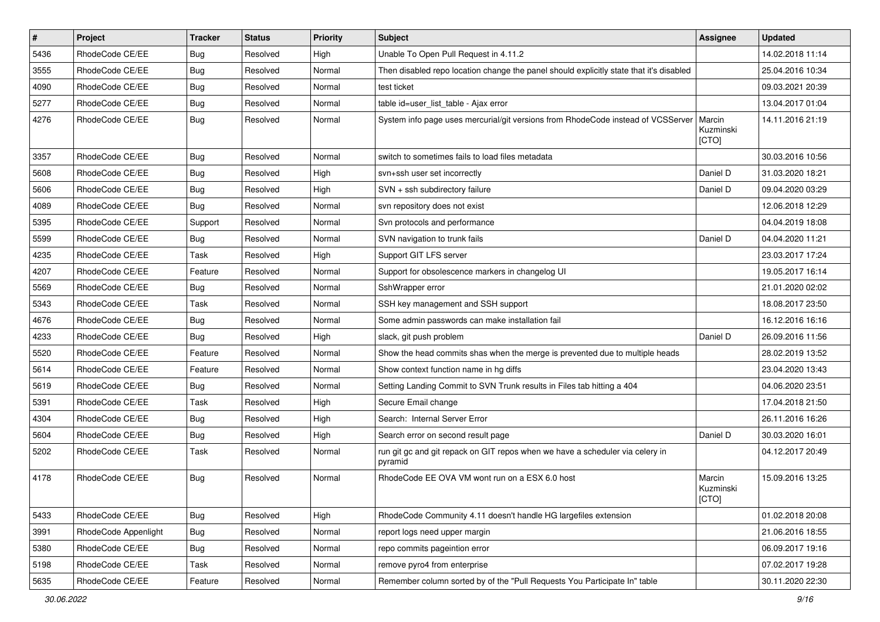| $\sharp$ | Project              | <b>Tracker</b> | <b>Status</b> | <b>Priority</b> | Subject                                                                                  | <b>Assignee</b>              | <b>Updated</b>   |
|----------|----------------------|----------------|---------------|-----------------|------------------------------------------------------------------------------------------|------------------------------|------------------|
| 5436     | RhodeCode CE/EE      | Bug            | Resolved      | High            | Unable To Open Pull Request in 4.11.2                                                    |                              | 14.02.2018 11:14 |
| 3555     | RhodeCode CE/EE      | Bug            | Resolved      | Normal          | Then disabled repo location change the panel should explicitly state that it's disabled  |                              | 25.04.2016 10:34 |
| 4090     | RhodeCode CE/EE      | <b>Bug</b>     | Resolved      | Normal          | test ticket                                                                              |                              | 09.03.2021 20:39 |
| 5277     | RhodeCode CE/EE      | Bug            | Resolved      | Normal          | table id=user_list_table - Ajax error                                                    |                              | 13.04.2017 01:04 |
| 4276     | RhodeCode CE/EE      | <b>Bug</b>     | Resolved      | Normal          | System info page uses mercurial/git versions from RhodeCode instead of VCSServer         | Marcin<br>Kuzminski<br>[CTO] | 14.11.2016 21:19 |
| 3357     | RhodeCode CE/EE      | Bug            | Resolved      | Normal          | switch to sometimes fails to load files metadata                                         |                              | 30.03.2016 10:56 |
| 5608     | RhodeCode CE/EE      | <b>Bug</b>     | Resolved      | High            | svn+ssh user set incorrectly                                                             | Daniel D                     | 31.03.2020 18:21 |
| 5606     | RhodeCode CE/EE      | <b>Bug</b>     | Resolved      | High            | SVN + ssh subdirectory failure                                                           | Daniel D                     | 09.04.2020 03:29 |
| 4089     | RhodeCode CE/EE      | Bug            | Resolved      | Normal          | svn repository does not exist                                                            |                              | 12.06.2018 12:29 |
| 5395     | RhodeCode CE/EE      | Support        | Resolved      | Normal          | Svn protocols and performance                                                            |                              | 04.04.2019 18:08 |
| 5599     | RhodeCode CE/EE      | Bug            | Resolved      | Normal          | SVN navigation to trunk fails                                                            | Daniel D                     | 04.04.2020 11:21 |
| 4235     | RhodeCode CE/EE      | Task           | Resolved      | High            | Support GIT LFS server                                                                   |                              | 23.03.2017 17:24 |
| 4207     | RhodeCode CE/EE      | Feature        | Resolved      | Normal          | Support for obsolescence markers in changelog UI                                         |                              | 19.05.2017 16:14 |
| 5569     | RhodeCode CE/EE      | Bug            | Resolved      | Normal          | SshWrapper error                                                                         |                              | 21.01.2020 02:02 |
| 5343     | RhodeCode CE/EE      | Task           | Resolved      | Normal          | SSH key management and SSH support                                                       |                              | 18.08.2017 23:50 |
| 4676     | RhodeCode CE/EE      | Bug            | Resolved      | Normal          | Some admin passwords can make installation fail                                          |                              | 16.12.2016 16:16 |
| 4233     | RhodeCode CE/EE      | Bug            | Resolved      | High            | slack, git push problem                                                                  | Daniel D                     | 26.09.2016 11:56 |
| 5520     | RhodeCode CE/EE      | Feature        | Resolved      | Normal          | Show the head commits shas when the merge is prevented due to multiple heads             |                              | 28.02.2019 13:52 |
| 5614     | RhodeCode CE/EE      | Feature        | Resolved      | Normal          | Show context function name in hg diffs                                                   |                              | 23.04.2020 13:43 |
| 5619     | RhodeCode CE/EE      | Bug            | Resolved      | Normal          | Setting Landing Commit to SVN Trunk results in Files tab hitting a 404                   |                              | 04.06.2020 23:51 |
| 5391     | RhodeCode CE/EE      | Task           | Resolved      | High            | Secure Email change                                                                      |                              | 17.04.2018 21:50 |
| 4304     | RhodeCode CE/EE      | Bug            | Resolved      | High            | Search: Internal Server Error                                                            |                              | 26.11.2016 16:26 |
| 5604     | RhodeCode CE/EE      | Bug            | Resolved      | High            | Search error on second result page                                                       | Daniel D                     | 30.03.2020 16:01 |
| 5202     | RhodeCode CE/EE      | Task           | Resolved      | Normal          | run git gc and git repack on GIT repos when we have a scheduler via celery in<br>pyramid |                              | 04.12.2017 20:49 |
| 4178     | RhodeCode CE/EE      | Bug            | Resolved      | Normal          | RhodeCode EE OVA VM wont run on a ESX 6.0 host                                           | Marcin<br>Kuzminski<br>[CTO] | 15.09.2016 13:25 |
| 5433     | RhodeCode CE/EE      | <b>Bug</b>     | Resolved      | High            | RhodeCode Community 4.11 doesn't handle HG largefiles extension                          |                              | 01.02.2018 20:08 |
| 3991     | RhodeCode Appenlight | Bug            | Resolved      | Normal          | report logs need upper margin                                                            |                              | 21.06.2016 18:55 |
| 5380     | RhodeCode CE/EE      | Bug            | Resolved      | Normal          | repo commits pageintion error                                                            |                              | 06.09.2017 19:16 |
| 5198     | RhodeCode CE/EE      | Task           | Resolved      | Normal          | remove pyro4 from enterprise                                                             |                              | 07.02.2017 19:28 |
| 5635     | RhodeCode CE/EE      | Feature        | Resolved      | Normal          | Remember column sorted by of the "Pull Requests You Participate In" table                |                              | 30.11.2020 22:30 |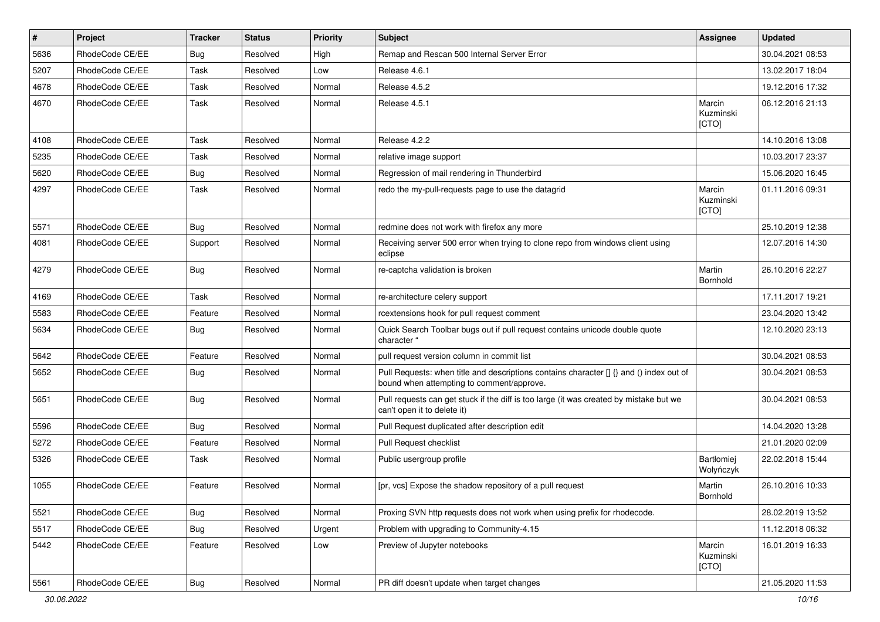| $\vert$ # | Project         | <b>Tracker</b> | <b>Status</b> | <b>Priority</b> | <b>Subject</b>                                                                                                                       | <b>Assignee</b>              | <b>Updated</b>   |
|-----------|-----------------|----------------|---------------|-----------------|--------------------------------------------------------------------------------------------------------------------------------------|------------------------------|------------------|
| 5636      | RhodeCode CE/EE | Bug            | Resolved      | High            | Remap and Rescan 500 Internal Server Error                                                                                           |                              | 30.04.2021 08:53 |
| 5207      | RhodeCode CE/EE | Task           | Resolved      | Low             | Release 4.6.1                                                                                                                        |                              | 13.02.2017 18:04 |
| 4678      | RhodeCode CE/EE | Task           | Resolved      | Normal          | Release 4.5.2                                                                                                                        |                              | 19.12.2016 17:32 |
| 4670      | RhodeCode CE/EE | Task           | Resolved      | Normal          | Release 4.5.1                                                                                                                        | Marcin<br>Kuzminski<br>[CTO] | 06.12.2016 21:13 |
| 4108      | RhodeCode CE/EE | Task           | Resolved      | Normal          | Release 4.2.2                                                                                                                        |                              | 14.10.2016 13:08 |
| 5235      | RhodeCode CE/EE | Task           | Resolved      | Normal          | relative image support                                                                                                               |                              | 10.03.2017 23:37 |
| 5620      | RhodeCode CE/EE | Bug            | Resolved      | Normal          | Regression of mail rendering in Thunderbird                                                                                          |                              | 15.06.2020 16:45 |
| 4297      | RhodeCode CE/EE | Task           | Resolved      | Normal          | redo the my-pull-requests page to use the datagrid                                                                                   | Marcin<br>Kuzminski<br>[CTO] | 01.11.2016 09:31 |
| 5571      | RhodeCode CE/EE | Bug            | Resolved      | Normal          | redmine does not work with firefox any more                                                                                          |                              | 25.10.2019 12:38 |
| 4081      | RhodeCode CE/EE | Support        | Resolved      | Normal          | Receiving server 500 error when trying to clone repo from windows client using<br>eclipse                                            |                              | 12.07.2016 14:30 |
| 4279      | RhodeCode CE/EE | Bug            | Resolved      | Normal          | re-captcha validation is broken                                                                                                      | Martin<br>Bornhold           | 26.10.2016 22:27 |
| 4169      | RhodeCode CE/EE | Task           | Resolved      | Normal          | re-architecture celery support                                                                                                       |                              | 17.11.2017 19:21 |
| 5583      | RhodeCode CE/EE | Feature        | Resolved      | Normal          | rcextensions hook for pull request comment                                                                                           |                              | 23.04.2020 13:42 |
| 5634      | RhodeCode CE/EE | Bug            | Resolved      | Normal          | Quick Search Toolbar bugs out if pull request contains unicode double quote<br>character "                                           |                              | 12.10.2020 23:13 |
| 5642      | RhodeCode CE/EE | Feature        | Resolved      | Normal          | pull request version column in commit list                                                                                           |                              | 30.04.2021 08:53 |
| 5652      | RhodeCode CE/EE | Bug            | Resolved      | Normal          | Pull Requests: when title and descriptions contains character [] {} and () index out of<br>bound when attempting to comment/approve. |                              | 30.04.2021 08:53 |
| 5651      | RhodeCode CE/EE | Bug            | Resolved      | Normal          | Pull requests can get stuck if the diff is too large (it was created by mistake but we<br>can't open it to delete it)                |                              | 30.04.2021 08:53 |
| 5596      | RhodeCode CE/EE | Bug            | Resolved      | Normal          | Pull Request duplicated after description edit                                                                                       |                              | 14.04.2020 13:28 |
| 5272      | RhodeCode CE/EE | Feature        | Resolved      | Normal          | Pull Request checklist                                                                                                               |                              | 21.01.2020 02:09 |
| 5326      | RhodeCode CE/EE | Task           | Resolved      | Normal          | Public usergroup profile                                                                                                             | Bartłomiej<br>Wołyńczyk      | 22.02.2018 15:44 |
| 1055      | RhodeCode CE/EE | Feature        | Resolved      | Normal          | [pr, vcs] Expose the shadow repository of a pull request                                                                             | Martin<br>Bornhold           | 26.10.2016 10:33 |
| 5521      | RhodeCode CE/EE | Bug            | Resolved      | Normal          | Proxing SVN http requests does not work when using prefix for rhodecode.                                                             |                              | 28.02.2019 13:52 |
| 5517      | RhodeCode CE/EE | <b>Bug</b>     | Resolved      | Urgent          | Problem with upgrading to Community-4.15                                                                                             |                              | 11.12.2018 06:32 |
| 5442      | RhodeCode CE/EE | Feature        | Resolved      | Low             | Preview of Jupyter notebooks                                                                                                         | Marcin<br>Kuzminski<br>[CTO] | 16.01.2019 16:33 |
| 5561      | RhodeCode CE/EE | <b>Bug</b>     | Resolved      | Normal          | PR diff doesn't update when target changes                                                                                           |                              | 21.05.2020 11:53 |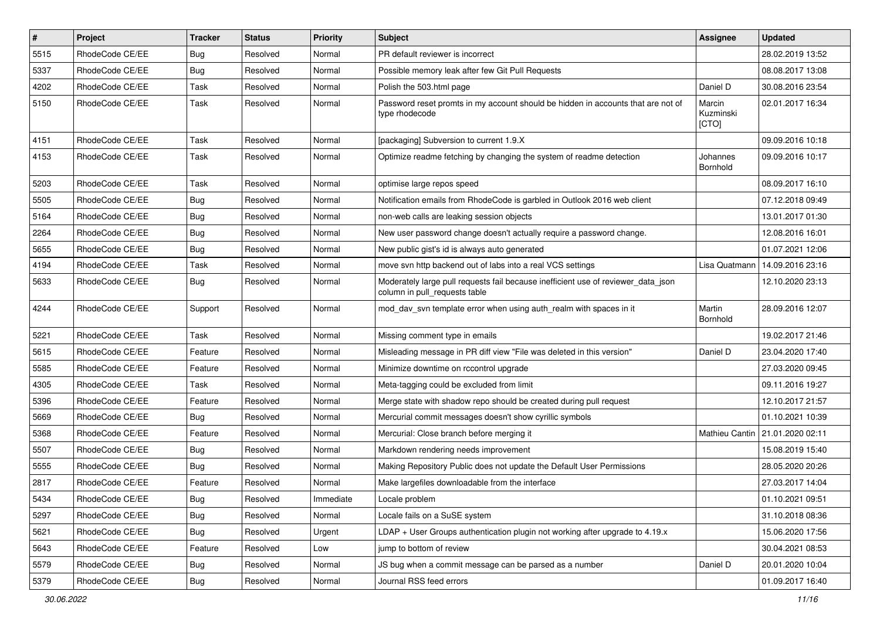| $\vert$ # | Project         | <b>Tracker</b> | <b>Status</b> | Priority  | <b>Subject</b>                                                                                                     | <b>Assignee</b>              | <b>Updated</b>                    |
|-----------|-----------------|----------------|---------------|-----------|--------------------------------------------------------------------------------------------------------------------|------------------------------|-----------------------------------|
| 5515      | RhodeCode CE/EE | Bug            | Resolved      | Normal    | PR default reviewer is incorrect                                                                                   |                              | 28.02.2019 13:52                  |
| 5337      | RhodeCode CE/EE | Bug            | Resolved      | Normal    | Possible memory leak after few Git Pull Requests                                                                   |                              | 08.08.2017 13:08                  |
| 4202      | RhodeCode CE/EE | Task           | Resolved      | Normal    | Polish the 503.html page                                                                                           | Daniel D                     | 30.08.2016 23:54                  |
| 5150      | RhodeCode CE/EE | Task           | Resolved      | Normal    | Password reset promts in my account should be hidden in accounts that are not of<br>type rhodecode                 | Marcin<br>Kuzminski<br>[CTO] | 02.01.2017 16:34                  |
| 4151      | RhodeCode CE/EE | Task           | Resolved      | Normal    | [packaging] Subversion to current 1.9.X                                                                            |                              | 09.09.2016 10:18                  |
| 4153      | RhodeCode CE/EE | <b>Task</b>    | Resolved      | Normal    | Optimize readme fetching by changing the system of readme detection                                                | Johannes<br>Bornhold         | 09.09.2016 10:17                  |
| 5203      | RhodeCode CE/EE | Task           | Resolved      | Normal    | optimise large repos speed                                                                                         |                              | 08.09.2017 16:10                  |
| 5505      | RhodeCode CE/EE | Bug            | Resolved      | Normal    | Notification emails from RhodeCode is garbled in Outlook 2016 web client                                           |                              | 07.12.2018 09:49                  |
| 5164      | RhodeCode CE/EE | <b>Bug</b>     | Resolved      | Normal    | non-web calls are leaking session objects                                                                          |                              | 13.01.2017 01:30                  |
| 2264      | RhodeCode CE/EE | Bug            | Resolved      | Normal    | New user password change doesn't actually require a password change.                                               |                              | 12.08.2016 16:01                  |
| 5655      | RhodeCode CE/EE | Bug            | Resolved      | Normal    | New public gist's id is always auto generated                                                                      |                              | 01.07.2021 12:06                  |
| 4194      | RhodeCode CE/EE | Task           | Resolved      | Normal    | move svn http backend out of labs into a real VCS settings                                                         | Lisa Quatmann                | 14.09.2016 23:16                  |
| 5633      | RhodeCode CE/EE | Bug            | Resolved      | Normal    | Moderately large pull requests fail because inefficient use of reviewer_data_json<br>column in pull requests table |                              | 12.10.2020 23:13                  |
| 4244      | RhodeCode CE/EE | Support        | Resolved      | Normal    | mod_dav_svn template error when using auth_realm with spaces in it                                                 | Martin<br>Bornhold           | 28.09.2016 12:07                  |
| 5221      | RhodeCode CE/EE | Task           | Resolved      | Normal    | Missing comment type in emails                                                                                     |                              | 19.02.2017 21:46                  |
| 5615      | RhodeCode CE/EE | Feature        | Resolved      | Normal    | Misleading message in PR diff view "File was deleted in this version"                                              | Daniel D                     | 23.04.2020 17:40                  |
| 5585      | RhodeCode CE/EE | Feature        | Resolved      | Normal    | Minimize downtime on rccontrol upgrade                                                                             |                              | 27.03.2020 09:45                  |
| 4305      | RhodeCode CE/EE | Task           | Resolved      | Normal    | Meta-tagging could be excluded from limit                                                                          |                              | 09.11.2016 19:27                  |
| 5396      | RhodeCode CE/EE | Feature        | Resolved      | Normal    | Merge state with shadow repo should be created during pull request                                                 |                              | 12.10.2017 21:57                  |
| 5669      | RhodeCode CE/EE | Bug            | Resolved      | Normal    | Mercurial commit messages doesn't show cyrillic symbols                                                            |                              | 01.10.2021 10:39                  |
| 5368      | RhodeCode CE/EE | Feature        | Resolved      | Normal    | Mercurial: Close branch before merging it                                                                          |                              | Mathieu Cantin   21.01.2020 02:11 |
| 5507      | RhodeCode CE/EE | Bug            | Resolved      | Normal    | Markdown rendering needs improvement                                                                               |                              | 15.08.2019 15:40                  |
| 5555      | RhodeCode CE/EE | Bug            | Resolved      | Normal    | Making Repository Public does not update the Default User Permissions                                              |                              | 28.05.2020 20:26                  |
| 2817      | RhodeCode CE/EE | Feature        | Resolved      | Normal    | Make largefiles downloadable from the interface                                                                    |                              | 27.03.2017 14:04                  |
| 5434      | RhodeCode CE/EE | Bug            | Resolved      | Immediate | Locale problem                                                                                                     |                              | 01.10.2021 09:51                  |
| 5297      | RhodeCode CE/EE | Bug            | Resolved      | Normal    | Locale fails on a SuSE system                                                                                      |                              | 31.10.2018 08:36                  |
| 5621      | RhodeCode CE/EE | Bug            | Resolved      | Urgent    | $LDAP + User Groups$ authentication plugin not working after upgrade to 4.19. $x$                                  |                              | 15.06.2020 17:56                  |
| 5643      | RhodeCode CE/EE | Feature        | Resolved      | Low       | jump to bottom of review                                                                                           |                              | 30.04.2021 08:53                  |
| 5579      | RhodeCode CE/EE | <b>Bug</b>     | Resolved      | Normal    | JS bug when a commit message can be parsed as a number                                                             | Daniel D                     | 20.01.2020 10:04                  |
| 5379      | RhodeCode CE/EE | Bug            | Resolved      | Normal    | Journal RSS feed errors                                                                                            |                              | 01.09.2017 16:40                  |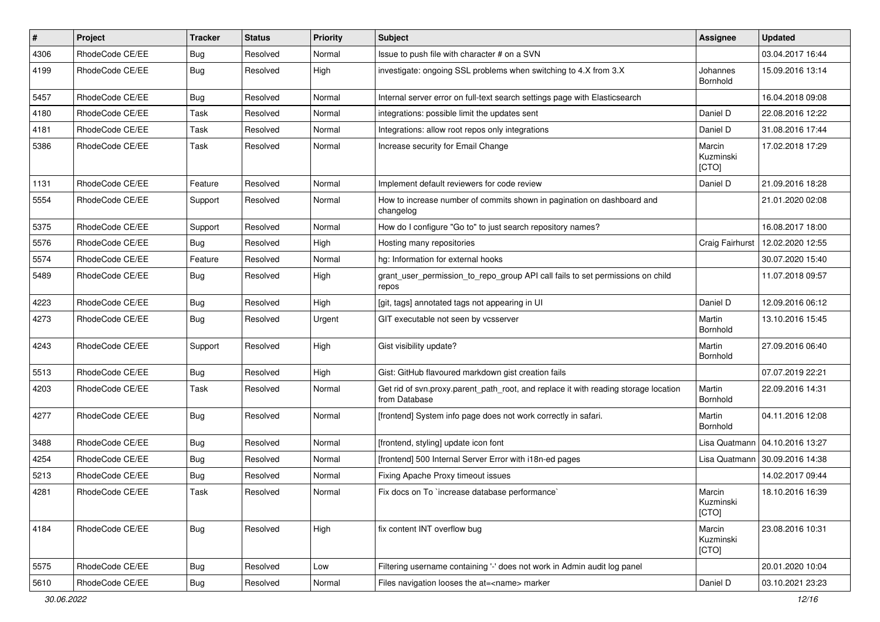| $\#$ | Project         | <b>Tracker</b> | <b>Status</b> | <b>Priority</b> | Subject                                                                                              | <b>Assignee</b>              | <b>Updated</b>   |
|------|-----------------|----------------|---------------|-----------------|------------------------------------------------------------------------------------------------------|------------------------------|------------------|
| 4306 | RhodeCode CE/EE | <b>Bug</b>     | Resolved      | Normal          | Issue to push file with character # on a SVN                                                         |                              | 03.04.2017 16:44 |
| 4199 | RhodeCode CE/EE | Bug            | Resolved      | High            | investigate: ongoing SSL problems when switching to 4.X from 3.X                                     | Johannes<br>Bornhold         | 15.09.2016 13:14 |
| 5457 | RhodeCode CE/EE | Bug            | Resolved      | Normal          | Internal server error on full-text search settings page with Elasticsearch                           |                              | 16.04.2018 09:08 |
| 4180 | RhodeCode CE/EE | Task           | Resolved      | Normal          | integrations: possible limit the updates sent                                                        | Daniel D                     | 22.08.2016 12:22 |
| 4181 | RhodeCode CE/EE | Task           | Resolved      | Normal          | Integrations: allow root repos only integrations                                                     | Daniel D                     | 31.08.2016 17:44 |
| 5386 | RhodeCode CE/EE | Task           | Resolved      | Normal          | Increase security for Email Change                                                                   | Marcin<br>Kuzminski<br>[CTO] | 17.02.2018 17:29 |
| 1131 | RhodeCode CE/EE | Feature        | Resolved      | Normal          | Implement default reviewers for code review                                                          | Daniel D                     | 21.09.2016 18:28 |
| 5554 | RhodeCode CE/EE | Support        | Resolved      | Normal          | How to increase number of commits shown in pagination on dashboard and<br>changelog                  |                              | 21.01.2020 02:08 |
| 5375 | RhodeCode CE/EE | Support        | Resolved      | Normal          | How do I configure "Go to" to just search repository names?                                          |                              | 16.08.2017 18:00 |
| 5576 | RhodeCode CE/EE | <b>Bug</b>     | Resolved      | High            | Hosting many repositories                                                                            | Craig Fairhurst              | 12.02.2020 12:55 |
| 5574 | RhodeCode CE/EE | Feature        | Resolved      | Normal          | hg: Information for external hooks                                                                   |                              | 30.07.2020 15:40 |
| 5489 | RhodeCode CE/EE | Bug            | Resolved      | High            | grant_user_permission_to_repo_group API call fails to set permissions on child<br>repos              |                              | 11.07.2018 09:57 |
| 4223 | RhodeCode CE/EE | Bug            | Resolved      | High            | [git, tags] annotated tags not appearing in UI                                                       | Daniel D                     | 12.09.2016 06:12 |
| 4273 | RhodeCode CE/EE | <b>Bug</b>     | Resolved      | Urgent          | GIT executable not seen by vcsserver                                                                 | Martin<br>Bornhold           | 13.10.2016 15:45 |
| 4243 | RhodeCode CE/EE | Support        | Resolved      | High            | Gist visibility update?                                                                              | Martin<br>Bornhold           | 27.09.2016 06:40 |
| 5513 | RhodeCode CE/EE | Bug            | Resolved      | High            | Gist: GitHub flavoured markdown gist creation fails                                                  |                              | 07.07.2019 22:21 |
| 4203 | RhodeCode CE/EE | Task           | Resolved      | Normal          | Get rid of svn.proxy.parent_path_root, and replace it with reading storage location<br>from Database | Martin<br>Bornhold           | 22.09.2016 14:31 |
| 4277 | RhodeCode CE/EE | Bug            | Resolved      | Normal          | [frontend] System info page does not work correctly in safari.                                       | Martin<br>Bornhold           | 04.11.2016 12:08 |
| 3488 | RhodeCode CE/EE | Bug            | Resolved      | Normal          | [frontend, styling] update icon font                                                                 | Lisa Quatmann                | 04.10.2016 13:27 |
| 4254 | RhodeCode CE/EE | Bug            | Resolved      | Normal          | [frontend] 500 Internal Server Error with i18n-ed pages                                              | Lisa Quatmann                | 30.09.2016 14:38 |
| 5213 | RhodeCode CE/EE | Bug            | Resolved      | Normal          | Fixing Apache Proxy timeout issues                                                                   |                              | 14.02.2017 09:44 |
| 4281 | RhodeCode CE/EE | Task           | Resolved      | Normal          | Fix docs on To `increase database performance`                                                       | Marcin<br>Kuzminski<br>[CTO] | 18.10.2016 16:39 |
| 4184 | RhodeCode CE/EE | Bug            | Resolved      | High            | fix content INT overflow bug                                                                         | Marcin<br>Kuzminski<br>[CTO] | 23.08.2016 10:31 |
| 5575 | RhodeCode CE/EE | Bug            | Resolved      | Low             | Filtering username containing '-' does not work in Admin audit log panel                             |                              | 20.01.2020 10:04 |
| 5610 | RhodeCode CE/EE | <b>Bug</b>     | Resolved      | Normal          | Files navigation looses the at= <name> marker</name>                                                 | Daniel D                     | 03.10.2021 23:23 |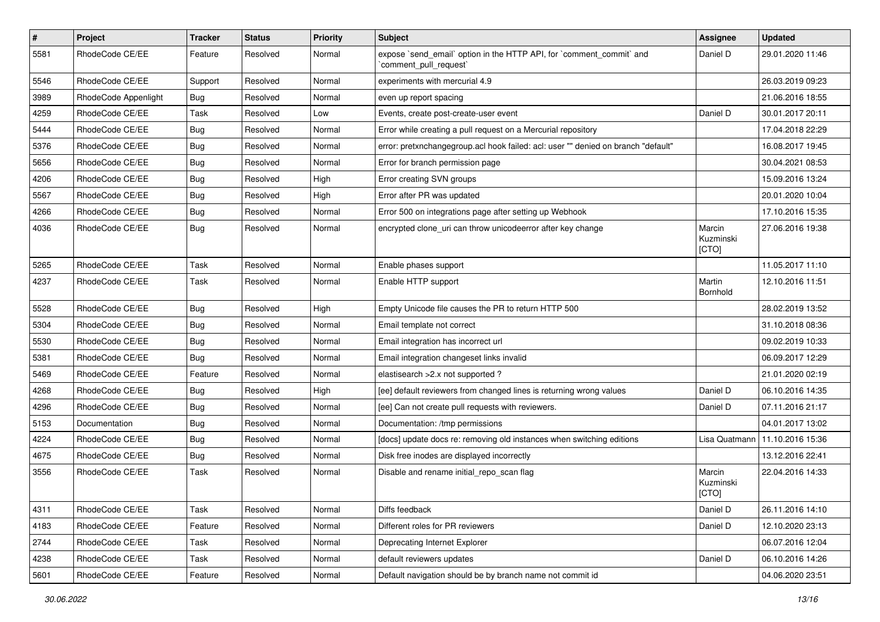| $\pmb{\#}$ | Project              | <b>Tracker</b> | <b>Status</b> | <b>Priority</b> | Subject                                                                                      | <b>Assignee</b>              | <b>Updated</b>   |
|------------|----------------------|----------------|---------------|-----------------|----------------------------------------------------------------------------------------------|------------------------------|------------------|
| 5581       | RhodeCode CE/EE      | Feature        | Resolved      | Normal          | expose `send_email` option in the HTTP API, for `comment_commit` and<br>comment pull request | Daniel D                     | 29.01.2020 11:46 |
| 5546       | RhodeCode CE/EE      | Support        | Resolved      | Normal          | experiments with mercurial 4.9                                                               |                              | 26.03.2019 09:23 |
| 3989       | RhodeCode Appenlight | Bug            | Resolved      | Normal          | even up report spacing                                                                       |                              | 21.06.2016 18:55 |
| 4259       | RhodeCode CE/EE      | <b>Task</b>    | Resolved      | Low             | Events, create post-create-user event                                                        | Daniel D                     | 30.01.2017 20:11 |
| 5444       | RhodeCode CE/EE      | Bug            | Resolved      | Normal          | Error while creating a pull request on a Mercurial repository                                |                              | 17.04.2018 22:29 |
| 5376       | RhodeCode CE/EE      | Bug            | Resolved      | Normal          | error: pretxnchangegroup.acl hook failed: acl: user "" denied on branch "default"            |                              | 16.08.2017 19:45 |
| 5656       | RhodeCode CE/EE      | Bug            | Resolved      | Normal          | Error for branch permission page                                                             |                              | 30.04.2021 08:53 |
| 4206       | RhodeCode CE/EE      | Bug            | Resolved      | High            | Error creating SVN groups                                                                    |                              | 15.09.2016 13:24 |
| 5567       | RhodeCode CE/EE      | Bug            | Resolved      | High            | Error after PR was updated                                                                   |                              | 20.01.2020 10:04 |
| 4266       | RhodeCode CE/EE      | Bug            | Resolved      | Normal          | Error 500 on integrations page after setting up Webhook                                      |                              | 17.10.2016 15:35 |
| 4036       | RhodeCode CE/EE      | Bug            | Resolved      | Normal          | encrypted clone uri can throw unicodeerror after key change                                  | Marcin<br>Kuzminski<br>[CTO] | 27.06.2016 19:38 |
| 5265       | RhodeCode CE/EE      | Task           | Resolved      | Normal          | Enable phases support                                                                        |                              | 11.05.2017 11:10 |
| 4237       | RhodeCode CE/EE      | Task           | Resolved      | Normal          | Enable HTTP support                                                                          | Martin<br>Bornhold           | 12.10.2016 11:51 |
| 5528       | RhodeCode CE/EE      | Bug            | Resolved      | High            | Empty Unicode file causes the PR to return HTTP 500                                          |                              | 28.02.2019 13:52 |
| 5304       | RhodeCode CE/EE      | Bug            | Resolved      | Normal          | Email template not correct                                                                   |                              | 31.10.2018 08:36 |
| 5530       | RhodeCode CE/EE      | Bug            | Resolved      | Normal          | Email integration has incorrect url                                                          |                              | 09.02.2019 10:33 |
| 5381       | RhodeCode CE/EE      | Bug            | Resolved      | Normal          | Email integration changeset links invalid                                                    |                              | 06.09.2017 12:29 |
| 5469       | RhodeCode CE/EE      | Feature        | Resolved      | Normal          | elastisearch > 2.x not supported ?                                                           |                              | 21.01.2020 02:19 |
| 4268       | RhodeCode CE/EE      | <b>Bug</b>     | Resolved      | High            | [ee] default reviewers from changed lines is returning wrong values                          | Daniel D                     | 06.10.2016 14:35 |
| 4296       | RhodeCode CE/EE      | Bug            | Resolved      | Normal          | [ee] Can not create pull requests with reviewers.                                            | Daniel D                     | 07.11.2016 21:17 |
| 5153       | Documentation        | Bug            | Resolved      | Normal          | Documentation: /tmp permissions                                                              |                              | 04.01.2017 13:02 |
| 4224       | RhodeCode CE/EE      | Bug            | Resolved      | Normal          | [docs] update docs re: removing old instances when switching editions                        | Lisa Quatmann                | 11.10.2016 15:36 |
| 4675       | RhodeCode CE/EE      | Bug            | Resolved      | Normal          | Disk free inodes are displayed incorrectly                                                   |                              | 13.12.2016 22:41 |
| 3556       | RhodeCode CE/EE      | Task           | Resolved      | Normal          | Disable and rename initial repo scan flag                                                    | Marcin<br>Kuzminski<br>[CTO] | 22.04.2016 14:33 |
| 4311       | RhodeCode CE/EE      | Task           | Resolved      | Normal          | Diffs feedback                                                                               | Daniel D                     | 26.11.2016 14:10 |
| 4183       | RhodeCode CE/EE      | Feature        | Resolved      | Normal          | Different roles for PR reviewers                                                             | Daniel D                     | 12.10.2020 23:13 |
| 2744       | RhodeCode CE/EE      | Task           | Resolved      | Normal          | Deprecating Internet Explorer                                                                |                              | 06.07.2016 12:04 |
| 4238       | RhodeCode CE/EE      | Task           | Resolved      | Normal          | default reviewers updates                                                                    | Daniel D                     | 06.10.2016 14:26 |
| 5601       | RhodeCode CE/EE      | Feature        | Resolved      | Normal          | Default navigation should be by branch name not commit id                                    |                              | 04.06.2020 23:51 |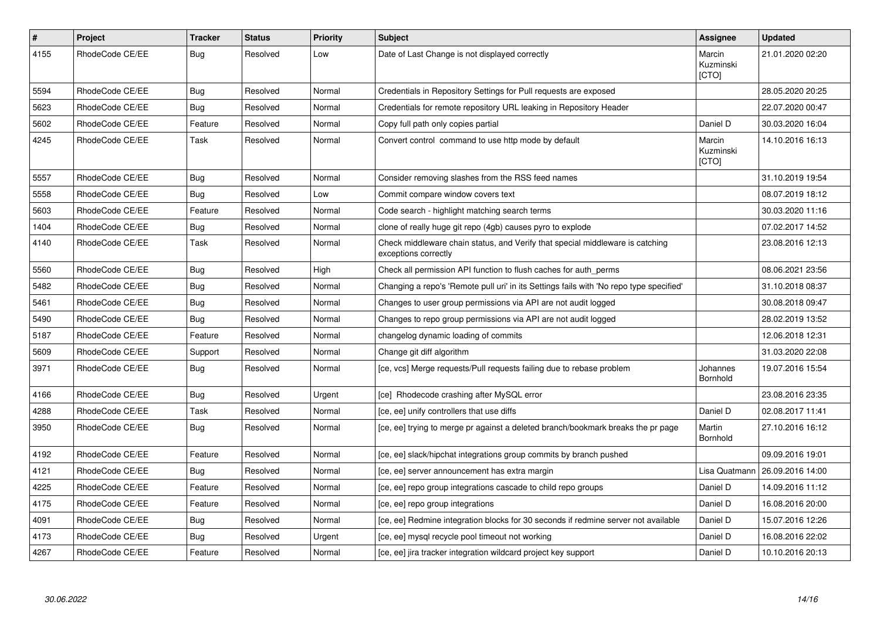| $\pmb{\#}$ | Project         | <b>Tracker</b> | <b>Status</b> | <b>Priority</b> | <b>Subject</b>                                                                                        | Assignee                     | <b>Updated</b>   |
|------------|-----------------|----------------|---------------|-----------------|-------------------------------------------------------------------------------------------------------|------------------------------|------------------|
| 4155       | RhodeCode CE/EE | Bug            | Resolved      | Low             | Date of Last Change is not displayed correctly                                                        | Marcin<br>Kuzminski<br>[CTO] | 21.01.2020 02:20 |
| 5594       | RhodeCode CE/EE | Bug            | Resolved      | Normal          | Credentials in Repository Settings for Pull requests are exposed                                      |                              | 28.05.2020 20:25 |
| 5623       | RhodeCode CE/EE | Bug            | Resolved      | Normal          | Credentials for remote repository URL leaking in Repository Header                                    |                              | 22.07.2020 00:47 |
| 5602       | RhodeCode CE/EE | Feature        | Resolved      | Normal          | Copy full path only copies partial                                                                    | Daniel D                     | 30.03.2020 16:04 |
| 4245       | RhodeCode CE/EE | Task           | Resolved      | Normal          | Convert control command to use http mode by default                                                   | Marcin<br>Kuzminski<br>[CTO] | 14.10.2016 16:13 |
| 5557       | RhodeCode CE/EE | <b>Bug</b>     | Resolved      | Normal          | Consider removing slashes from the RSS feed names                                                     |                              | 31.10.2019 19:54 |
| 5558       | RhodeCode CE/EE | Bug            | Resolved      | Low             | Commit compare window covers text                                                                     |                              | 08.07.2019 18:12 |
| 5603       | RhodeCode CE/EE | Feature        | Resolved      | Normal          | Code search - highlight matching search terms                                                         |                              | 30.03.2020 11:16 |
| 1404       | RhodeCode CE/EE | <b>Bug</b>     | Resolved      | Normal          | clone of really huge git repo (4gb) causes pyro to explode                                            |                              | 07.02.2017 14:52 |
| 4140       | RhodeCode CE/EE | Task           | Resolved      | Normal          | Check middleware chain status, and Verify that special middleware is catching<br>exceptions correctly |                              | 23.08.2016 12:13 |
| 5560       | RhodeCode CE/EE | Bug            | Resolved      | High            | Check all permission API function to flush caches for auth perms                                      |                              | 08.06.2021 23:56 |
| 5482       | RhodeCode CE/EE | Bug            | Resolved      | Normal          | Changing a repo's 'Remote pull uri' in its Settings fails with 'No repo type specified'               |                              | 31.10.2018 08:37 |
| 5461       | RhodeCode CE/EE | <b>Bug</b>     | Resolved      | Normal          | Changes to user group permissions via API are not audit logged                                        |                              | 30.08.2018 09:47 |
| 5490       | RhodeCode CE/EE | Bug            | Resolved      | Normal          | Changes to repo group permissions via API are not audit logged                                        |                              | 28.02.2019 13:52 |
| 5187       | RhodeCode CE/EE | Feature        | Resolved      | Normal          | changelog dynamic loading of commits                                                                  |                              | 12.06.2018 12:31 |
| 5609       | RhodeCode CE/EE | Support        | Resolved      | Normal          | Change git diff algorithm                                                                             |                              | 31.03.2020 22:08 |
| 3971       | RhodeCode CE/EE | Bug            | Resolved      | Normal          | [ce, vcs] Merge requests/Pull requests failing due to rebase problem                                  | Johannes<br>Bornhold         | 19.07.2016 15:54 |
| 4166       | RhodeCode CE/EE | Bug            | Resolved      | Urgent          | [ce] Rhodecode crashing after MySQL error                                                             |                              | 23.08.2016 23:35 |
| 4288       | RhodeCode CE/EE | Task           | Resolved      | Normal          | [ce, ee] unify controllers that use diffs                                                             | Daniel D                     | 02.08.2017 11:41 |
| 3950       | RhodeCode CE/EE | Bug            | Resolved      | Normal          | [ce, ee] trying to merge pr against a deleted branch/bookmark breaks the pr page                      | Martin<br>Bornhold           | 27.10.2016 16:12 |
| 4192       | RhodeCode CE/EE | Feature        | Resolved      | Normal          | [ce, ee] slack/hipchat integrations group commits by branch pushed                                    |                              | 09.09.2016 19:01 |
| 4121       | RhodeCode CE/EE | Bug            | Resolved      | Normal          | [ce, ee] server announcement has extra margin                                                         | Lisa Quatmann                | 26.09.2016 14:00 |
| 4225       | RhodeCode CE/EE | Feature        | Resolved      | Normal          | [ce, ee] repo group integrations cascade to child repo groups                                         | Daniel D                     | 14.09.2016 11:12 |
| 4175       | RhodeCode CE/EE | Feature        | Resolved      | Normal          | [ce, ee] repo group integrations                                                                      | Daniel D                     | 16.08.2016 20:00 |
| 4091       | RhodeCode CE/EE | Bug            | Resolved      | Normal          | [ce, ee] Redmine integration blocks for 30 seconds if redmine server not available                    | Daniel D                     | 15.07.2016 12:26 |
| 4173       | RhodeCode CE/EE | Bug            | Resolved      | Urgent          | [ce, ee] mysql recycle pool timeout not working                                                       | Daniel D                     | 16.08.2016 22:02 |
| 4267       | RhodeCode CE/EE | Feature        | Resolved      | Normal          | [ce, ee] jira tracker integration wildcard project key support                                        | Daniel D                     | 10.10.2016 20:13 |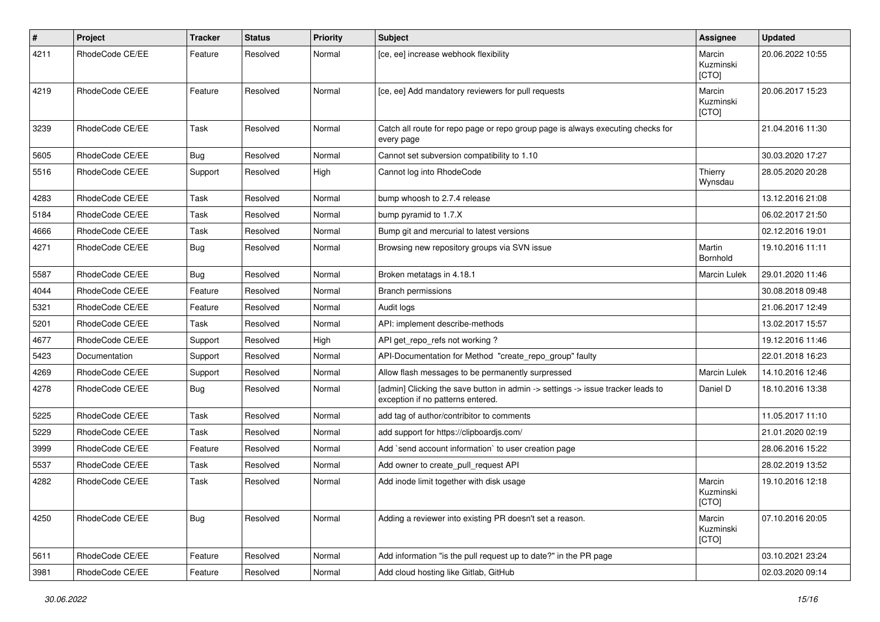| #    | Project         | <b>Tracker</b> | <b>Status</b> | <b>Priority</b> | <b>Subject</b>                                                                                                       | Assignee                     | <b>Updated</b>   |
|------|-----------------|----------------|---------------|-----------------|----------------------------------------------------------------------------------------------------------------------|------------------------------|------------------|
| 4211 | RhodeCode CE/EE | Feature        | Resolved      | Normal          | [ce, ee] increase webhook flexibility                                                                                | Marcin<br>Kuzminski<br>[CTO] | 20.06.2022 10:55 |
| 4219 | RhodeCode CE/EE | Feature        | Resolved      | Normal          | [ce, ee] Add mandatory reviewers for pull requests                                                                   | Marcin<br>Kuzminski<br>[CTO] | 20.06.2017 15:23 |
| 3239 | RhodeCode CE/EE | Task           | Resolved      | Normal          | Catch all route for repo page or repo group page is always executing checks for<br>every page                        |                              | 21.04.2016 11:30 |
| 5605 | RhodeCode CE/EE | Bug            | Resolved      | Normal          | Cannot set subversion compatibility to 1.10                                                                          |                              | 30.03.2020 17:27 |
| 5516 | RhodeCode CE/EE | Support        | Resolved      | High            | Cannot log into RhodeCode                                                                                            | Thierry<br>Wynsdau           | 28.05.2020 20:28 |
| 4283 | RhodeCode CE/EE | Task           | Resolved      | Normal          | bump whoosh to 2.7.4 release                                                                                         |                              | 13.12.2016 21:08 |
| 5184 | RhodeCode CE/EE | Task           | Resolved      | Normal          | bump pyramid to 1.7.X                                                                                                |                              | 06.02.2017 21:50 |
| 4666 | RhodeCode CE/EE | Task           | Resolved      | Normal          | Bump git and mercurial to latest versions                                                                            |                              | 02.12.2016 19:01 |
| 4271 | RhodeCode CE/EE | Bug            | Resolved      | Normal          | Browsing new repository groups via SVN issue                                                                         | Martin<br>Bornhold           | 19.10.2016 11:11 |
| 5587 | RhodeCode CE/EE | Bug            | Resolved      | Normal          | Broken metatags in 4.18.1                                                                                            | <b>Marcin Lulek</b>          | 29.01.2020 11:46 |
| 4044 | RhodeCode CE/EE | Feature        | Resolved      | Normal          | Branch permissions                                                                                                   |                              | 30.08.2018 09:48 |
| 5321 | RhodeCode CE/EE | Feature        | Resolved      | Normal          | Audit logs                                                                                                           |                              | 21.06.2017 12:49 |
| 5201 | RhodeCode CE/EE | Task           | Resolved      | Normal          | API: implement describe-methods                                                                                      |                              | 13.02.2017 15:57 |
| 4677 | RhodeCode CE/EE | Support        | Resolved      | High            | API get_repo_refs not working?                                                                                       |                              | 19.12.2016 11:46 |
| 5423 | Documentation   | Support        | Resolved      | Normal          | API-Documentation for Method "create_repo_group" faulty                                                              |                              | 22.01.2018 16:23 |
| 4269 | RhodeCode CE/EE | Support        | Resolved      | Normal          | Allow flash messages to be permanently surpressed                                                                    | <b>Marcin Lulek</b>          | 14.10.2016 12:46 |
| 4278 | RhodeCode CE/EE | Bug            | Resolved      | Normal          | [admin] Clicking the save button in admin -> settings -> issue tracker leads to<br>exception if no patterns entered. | Daniel D                     | 18.10.2016 13:38 |
| 5225 | RhodeCode CE/EE | Task           | Resolved      | Normal          | add tag of author/contribitor to comments                                                                            |                              | 11.05.2017 11:10 |
| 5229 | RhodeCode CE/EE | Task           | Resolved      | Normal          | add support for https://clipboardjs.com/                                                                             |                              | 21.01.2020 02:19 |
| 3999 | RhodeCode CE/EE | Feature        | Resolved      | Normal          | Add `send account information` to user creation page                                                                 |                              | 28.06.2016 15:22 |
| 5537 | RhodeCode CE/EE | Task           | Resolved      | Normal          | Add owner to create pull request API                                                                                 |                              | 28.02.2019 13:52 |
| 4282 | RhodeCode CE/EE | Task           | Resolved      | Normal          | Add inode limit together with disk usage                                                                             | Marcin<br>Kuzminski<br>[CTO] | 19.10.2016 12:18 |
| 4250 | RhodeCode CE/EE | Bug            | Resolved      | Normal          | Adding a reviewer into existing PR doesn't set a reason.                                                             | Marcin<br>Kuzminski<br>[CTO] | 07.10.2016 20:05 |
| 5611 | RhodeCode CE/EE | Feature        | Resolved      | Normal          | Add information "is the pull request up to date?" in the PR page                                                     |                              | 03.10.2021 23:24 |
| 3981 | RhodeCode CE/EE | Feature        | Resolved      | Normal          | Add cloud hosting like Gitlab, GitHub                                                                                |                              | 02.03.2020 09:14 |